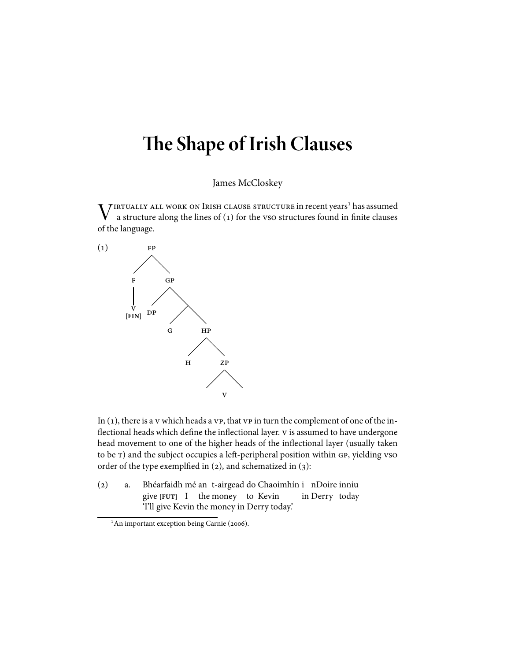# **e Shape of Irish Clauses**

James McCloskey

 $V^{\text{IRTUALIY ALL WORK ON IRISH CLAUSE STRUCTURE in recent years}$  has assumed a structure along the lines of (1) for the vso structures found in finite clauses a structure along the lines of  $(1)$  for the vso structures found in finite clauses of the language.



In  $(1)$ , there is a v which heads a vp, that  $v$ p in turn the complement of one of the inflectional heads which define the inflectional layer. v is assumed to have undergone head movement to one of the higher heads of the inflectional layer (usually taken to be T) and the subject occupies a left-peripheral position within GP, yielding vso order of the type exemplfied in  $(2)$ , and schematized in  $(3)$ :

() a. Bhéarfaidh mé an t-airgead do Chaoimhín i nDoire inniu give **[FUT]** I the money to Kevin in Derry today 'I'll give Kevin the money in Derry today.'

<sup>&</sup>lt;sup>1</sup>An important exception being Carnie (2006).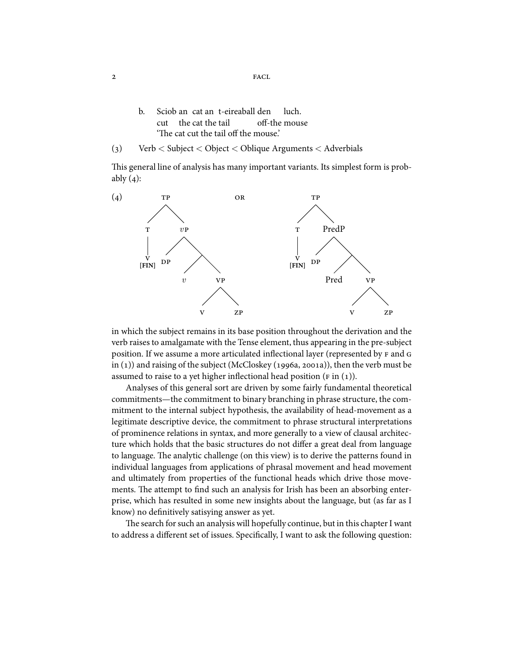- b. Sciob an cat an t-eireaball den cut the cat the tail off-the mouse luch. 'The cat cut the tail off the mouse.'
- () Verb < Subject < Object < Oblique Arguments < Adverbials

This general line of analysis has many important variants. Its simplest form is probably  $(4)$ :



in which the subject remains in its base position throughout the derivation and the verb raises to amalgamate with the Tense element, thus appearing in the pre-subject position. If we assume a more articulated inflectional layer (represented by F and G in  $(1)$ ) and raising of the subject (McCloskey (1996a, 2001a)), then the verb must be assumed to raise to a yet higher inflectional head position ( $F$  in (1)).

Analyses of this general sort are driven by some fairly fundamental theoretical commitments—the commitment to binary branching in phrase structure, the commitment to the internal subject hypothesis, the availability of head-movement as a legitimate descriptive device, the commitment to phrase structural interpretations of prominence relations in syntax, and more generally to a view of clausal architecture which holds that the basic structures do not differ a great deal from language to language. The analytic challenge (on this view) is to derive the patterns found in individual languages from applications of phrasal movement and head movement and ultimately from properties of the functional heads which drive those movements. The attempt to find such an analysis for Irish has been an absorbing enterprise, which has resulted in some new insights about the language, but (as far as I know) no definitively satisying answer as yet.

The search for such an analysis will hopefully continue, but in this chapter I want to address a different set of issues. Specifically, I want to ask the following question:

2 FACL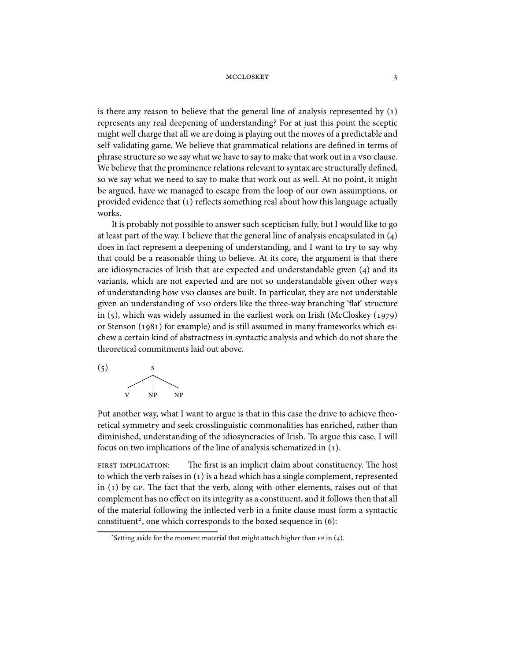is there any reason to believe that the general line of analysis represented by  $(1)$ represents any real deepening of understanding? For at just this point the sceptic might well charge that all we are doing is playing out the moves of a predictable and self-validating game. We believe that grammatical relations are defined in terms of phrase structure so we say what we have to say to make that work out in a vso clause. We believe that the prominence relations relevant to syntax are structurally defined, so we say what we need to say to make that work out as well. At no point, it might be argued, have we managed to escape from the loop of our own assumptions, or provided evidence that (1) reflects something real about how this language actually works.

It is probably not possible to answer such scepticism fully, but I would like to go at least part of the way. I believe that the general line of analysis encapsulated in  $(4)$ does in fact represent a deepening of understanding, and I want to try to say why that could be a reasonable thing to believe. At its core, the argument is that there are idiosyncracies of Irish that are expected and understandable given  $(4)$  and its variants, which are not expected and are not so understandable given other ways of understanding how clauses are built. In particular, they are not understable given an understanding of vso orders like the three-way branching 'flat' structure in  $(5)$ , which was widely assumed in the earliest work on Irish (McCloskey  $(1979)$ ) or Stenson (1981) for example) and is still assumed in many frameworks which eschew a certain kind of abstractness in syntactic analysis and which do not share the theoretical commitments laid out above.



Put another way, what I want to argue is that in this case the drive to achieve theoretical symmetry and seek crosslinguistic commonalities has enriched, rather than diminished, understanding of the idiosyncracies of Irish. To argue this case, I will focus on two implications of the line of analysis schematized in (1).

FIRST IMPLICATION: The first is an implicit claim about constituency. The host to which the verb raises in  $(1)$  is a head which has a single complement, represented in  $(1)$  by GP. The fact that the verb, along with other elements, raises out of that complement has no effect on its integrity as a constituent, and it follows then that all of the material following the inflected verb in a finite clause must form a syntactic constituent<sup>2</sup>, one which corresponds to the boxed sequence in (6):

<sup>&</sup>lt;sup>2</sup> Setting aside for the moment material that might attach higher than  $FP$  in (4).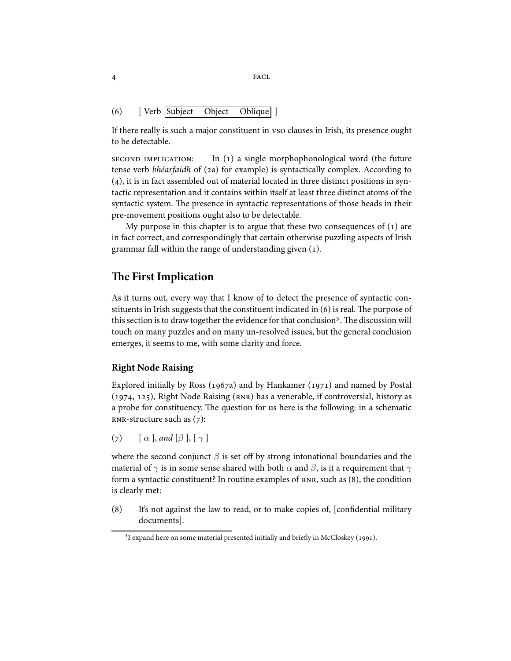4 FACL

### () [ Verb Subject Object Oblique ]

If there really is such a major constituent in vso clauses in Irish, its presence ought to be detectable.

 $s$  ECOND IMPLICATION: In (1) a single morphophonological word (the future tense verb bhéarfaidh of (2a) for example) is syntactically complex. According to  $(4)$ , it is in fact assembled out of material located in three distinct positions in syntactic representation and it contains within itself at least three distinct atoms of the syntactic system. The presence in syntactic representations of those heads in their pre-movement positions ought also to be detectable.

My purpose in this chapter is to argue that these two consequences of  $(1)$  are in fact correct, and correspondingly that certain otherwise puzzling aspects of Irish grammar fall within the range of understanding given ().

# **e First Implication**

As it turns out, every way that I know of to detect the presence of syntactic constituents in Irish suggests that the constituent indicated in  $(6)$  is real. The purpose of this section is to draw together the evidence for that conclusion<sup>3</sup>. The discussion will touch on many puzzles and on many un-resolved issues, but the general conclusion emerges, it seems to me, with some clarity and force.

### **Right Node Raising**

Explored initially by Ross (1967a) and by Hankamer (1971) and named by Postal (1974, 125), Right Node Raising ( $RNR$ ) has a venerable, if controversial, history as a probe for constituency. The question for us here is the following: in a schematic  $RNR-structure$  such as  $(7)$ :

(7)  $\lceil \alpha \rceil$ , and  $\lceil \beta \rceil$ ,  $\lceil \gamma \rceil$ 

where the second conjunct  $\beta$  is set off by strong intonational boundaries and the material of  $\gamma$  is in some sense shared with both  $\alpha$  and  $\beta$ , is it a requirement that  $\gamma$ form a syntactic constituent? In routine examples of  $RNR$ , such as  $(8)$ , the condition is clearly met:

(8) It's not against the law to read, or to make copies of, [confidential military documents].

<sup>&</sup>lt;sup>3</sup>I expand here on some material presented initially and briefly in McCloskey (1991).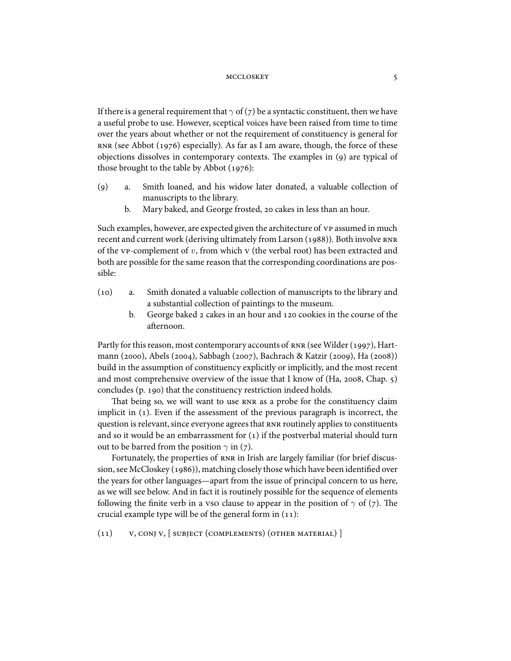If there is a general requirement that  $\gamma$  of ( $\gamma$ ) be a syntactic constituent, then we have a useful probe to use. However, sceptical voices have been raised from time to time over the years about whether or not the requirement of constituency is general for  $RNR$  (see Abbot (1976) especially). As far as I am aware, though, the force of these objections dissolves in contemporary contexts. The examples in  $(q)$  are typical of those brought to the table by Abbot  $(1976)$ :

- () a. Smith loaned, and his widow later donated, a valuable collection of manuscripts to the library.
	- b. Mary baked, and George frosted, 20 cakes in less than an hour.

Such examples, however, are expected given the architecture of vp assumed in much recent and current work (deriving ultimately from Larson (1988)). Both involve RNR of the  $VP$ -complement of  $v$ , from which  $V$  (the verbal root) has been extracted and both are possible for the same reason that the corresponding coordinations are possible:

- (10) a. Smith donated a valuable collection of manuscripts to the library and a substantial collection of paintings to the museum.
	- b. George baked  $\alpha$  cakes in an hour and  $\alpha$  cookies in the course of the afternoon.

Partly for this reason, most contemporary accounts of  $RNR$  (see Wilder (1997), Hartmann (2000), Abels (2004), Sabbagh (2007), Bachrach & Katzir (2009), Ha (2008)) build in the assumption of constituency explicitly or implicitly, and the most recent and most comprehensive overview of the issue that I know of  $(Ha, 2008, Chap. 5)$ concludes (p. 190) that the constituency restriction indeed holds.

That being so, we will want to use RNR as a probe for the constituency claim implicit in (). Even if the assessment of the previous paragraph is incorrect, the question is relevant, since everyone agrees that RNR routinely applies to constituents and so it would be an embarrassment for  $(1)$  if the postverbal material should turn out to be barred from the position  $\gamma$  in (7).

Fortunately, the properties of RNR in Irish are largely familiar (for brief discussion, see McCloskey (1986)), matching closely those which have been identified over the years for other languages—apart from the issue of principal concern to us here, as we will see below. And in fact it is routinely possible for the sequence of elements following the finite verb in a vso clause to appear in the position of  $\gamma$  of (7). The crucial example type will be of the general form in  $(11)$ :

 $(v, \text{CONJ } v, \text{SUBJECT (COMPLEMENTS) (OTHER MATERIAL) })$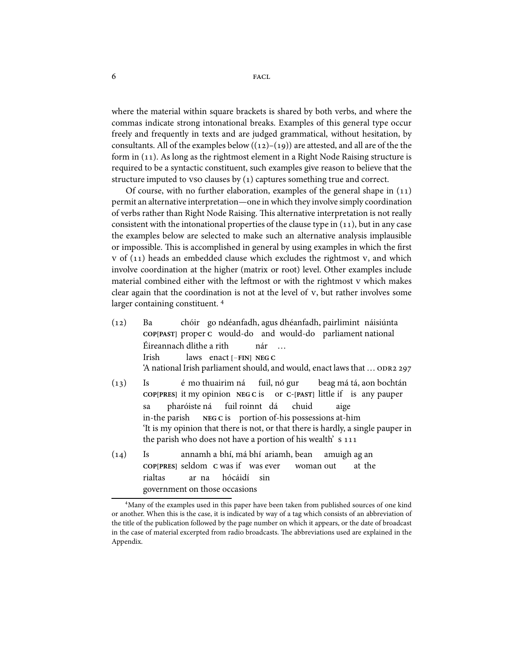where the material within square brackets is shared by both verbs, and where the commas indicate strong intonational breaks. Examples of this general type occur freely and frequently in texts and are judged grammatical, without hesitation, by consultants. All of the examples below  $((12)-(19))$  are attested, and all are of the the form in  $(11)$ . As long as the rightmost element in a Right Node Raising structure is required to be a syntactic constituent, such examples give reason to believe that the structure imputed to vso clauses by  $(1)$  captures something true and correct.

Of course, with no further elaboration, examples of the general shape in  $(11)$ permit an alternative interpretation—one in which they involve simply coordination of verbs rather than Right Node Raising. This alternative interpretation is not really consistent with the intonational properties of the clause type in  $(11)$ , but in any case the examples below are selected to make such an alternative analysis implausible or impossible. This is accomplished in general by using examples in which the first  $v$  of (11) heads an embedded clause which excludes the rightmost  $v$ , and which involve coordination at the higher (matrix or root) level. Other examples include material combined either with the leftmost or with the rightmost v which makes clear again that the coordination is not at the level of  $v$ , but rather involves some larger containing constituent.<sup>4</sup>

- $(12)$  Ba **COP[PAST]** proper **C** would-do and would-do parliament national chóir go ndéanfadh, agus dhéanfadh, pairlimint náisiúnta Éireannach dlithe a rith Irish laws enact **[**−**FIN] NEG C** nár … 'A national Irish parliament should, and would, enact laws that …
- $(13)$  Is **COP[PRES]** it my opinion **NEG C** is é mo thuairim ná fuil, nó gur or **C**-**[PAST]** little if is any pauper beag má tá, aon bochtán sa in-the parish pharóiste ná **NEG C** is portion of-his possessions at-him fuil roinnt dá chuid aige 'It is my opinion that there is not, or that there is hardly, a single pauper in the parish who does not have a portion of his wealth'
- $(14)$  Is **COP[PRES]** seldom **C** was if was ever annamh a bhí, má bhí ariamh, bean woman out amuigh ag an at the rialtas government on those occasions ar na hócáidí sin

Many of the examples used in this paper have been taken from published sources of one kind or another. When this is the case, it is indicated by way of a tag which consists of an abbreviation of the title of the publication followed by the page number on which it appears, or the date of broadcast in the case of material excerpted from radio broadcasts. The abbreviations used are explained in the Appendix.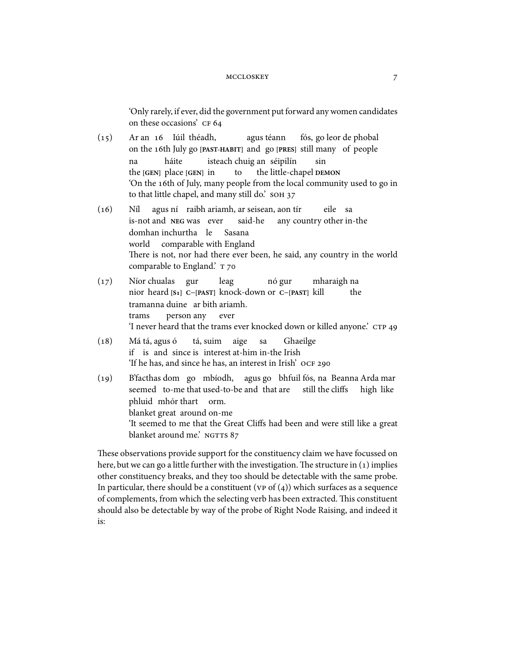'Only rarely, if ever, did the government put forward any women candidates on these occasions' CF 64

- $(15)$ on the 16th July go [PAST-HABIT] and go [PRES] still many of people an Iúil théadh, agus téann fós, go leor de phobal na the **[GEN]** place **[GEN]** in háite isteach chuig an séipilín to the little-chapel **DEMON** sin 'On the 16th of July, many people from the local community used to go in to that little chapel, and many still do.' SOH 37
- $(16)$  Níl is-not and **NEG** was ever agus ní raibh ariamh, ar seisean, aon tír said-he any country other in-the eile sa domhan inchurtha le world comparable with England Sasana There is not, nor had there ever been, he said, any country in the world comparable to England.' T 70
- $(17)$ nior heard [S<sub>1</sub>] C-[PAST] knock-down or C-[PAST] kill chualas gur leag nó gur mharaigh na the tramanna duine ar bith ariamh. trams person any ever 'I never heard that the trams ever knocked down or killed anyone.'
- $(18)$ if is and since is interest at-him in-the Irish tá, agus ó tá, suim aige sa Ghaeilge 'If he has, and since he has, an interest in Irish'
- (19) B'facthas dom go mbíodh, agus go bhfuil fós, na Beanna Arda mar seemed to-me that used-to-be and that are still the cliffs high like phluid mhór thart orm. blanket great around on-me 'It seemed to me that the Great Cliffs had been and were still like a great blanket around me.' NGTTS 87

These observations provide support for the constituency claim we have focussed on here, but we can go a little further with the investigation. The structure in  $(1)$  implies other constituency breaks, and they too should be detectable with the same probe. In particular, there should be a constituent ( $vp$  of  $(4)$ ) which surfaces as a sequence of complements, from which the selecting verb has been extracted. This constituent should also be detectable by way of the probe of Right Node Raising, and indeed it is: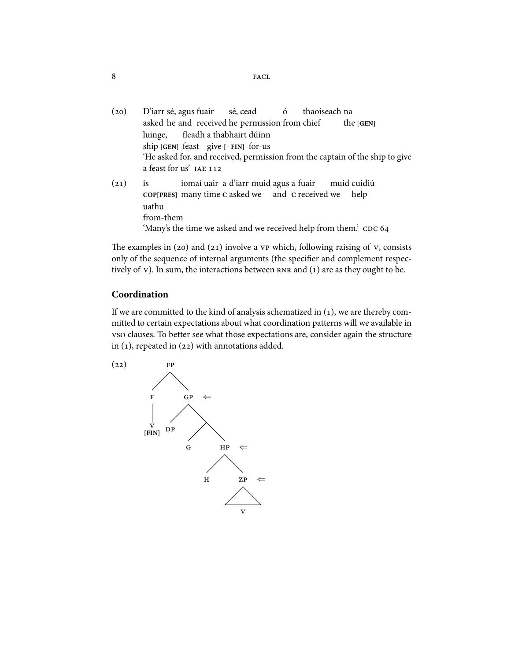- (20) D'iarr sé, agus fuair asked he and received he permission from chief sé, cead ó thaoiseach na the **[GEN]** luinge, ship **[GEN]** feast give **[**−**FIN]** for-us fleadh a thabhairt dúinn 'He asked for, and received, permission from the captain of the ship to give a feast for us'  $(21)$  is **COP[PRES]** many time **C** asked we and **C** received we help iomaí uair a d'iarr muid agus a fuair muid cuidiú uathu
	- from-them
		- 'Many's the time we asked and we received help from them.' CDC 64

The examples in (20) and (21) involve a  $vp$  which, following raising of  $v$ , consists only of the sequence of internal arguments (the specifier and complement respectively of  $v$ ). In sum, the interactions between  $r = nR$  and  $(1)$  are as they ought to be.

## **Coordination**

If we are committed to the kind of analysis schematized in  $(1)$ , we are thereby committed to certain expectations about what coordination patterns will we available in vso clauses. To better see what those expectations are, consider again the structure in  $(1)$ , repeated in  $(22)$  with annotations added.



 $8$  FACL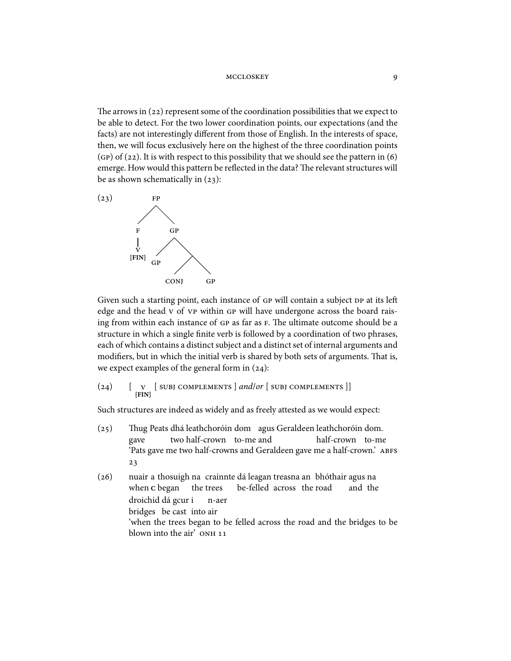The arrows in  $(22)$  represent some of the coordination possibilities that we expect to be able to detect. For the two lower coordination points, our expectations (and the facts) are not interestingly different from those of English. In the interests of space, then, we will focus exclusively here on the highest of the three coordination points  $(qP)$  of (22). It is with respect to this possibility that we should see the pattern in (6) emerge. How would this pattern be reflected in the data? The relevant structures will be as shown schematically in  $(23)$ :



Given such a starting point, each instance of GP will contain a subject DP at its left edge and the head v of vp within GP will have undergone across the board raising from within each instance of GP as far as F. The ultimate outcome should be a structure in which a single finite verb is followed by a coordination of two phrases, each of which contains a distinct subject and a distinct set of internal arguments and modifiers, but in which the initial verb is shared by both sets of arguments. That is, we expect examples of the general form in  $(24)$ :

$$
(24) \qquad [\begin{array}{c} \mathbf{v} \quad [\text{subj complexments} \end{array}] \text{ and/or } [\begin{array}{c} \mathbf{subj componentments} \end{array}]]
$$

Such structures are indeed as widely and as freely attested as we would expect:

- (25) Thug Peats dhá leathchoróin dom agus Geraldeen leathchoróin dom. gave two half-crown to-me and half-crown to-me 'Pats gave me two half-crowns and Geraldeen gave me a half-crown.'  $23$
- (26) nuair a thosuigh na crainnte dá leagan treasna an bhóthair agus na when **C** began the trees be-felled across the road and the droichid dá gcur i bridges be cast into air n-aer 'when the trees began to be felled across the road and the bridges to be blown into the air' ONH 11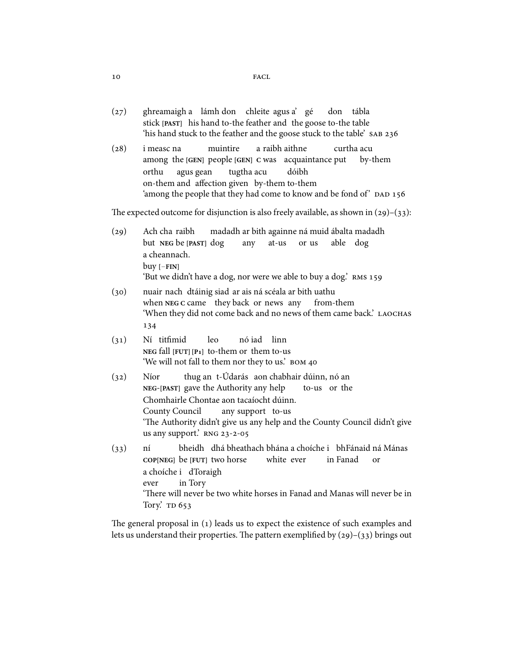- (27) ghreamaigh a lámh don chleite agus a' gé stick **[PAST]** his hand to-the feather and the goose to-the table don tábla 'his hand stuck to the feather and the goose stuck to the table' SAB 236
- (28) i measc na among the [GEN] people [GEN] C was acquaintance put muintire a raibh aithne curtha acu by-them orthu on-them and affection given by-them to-them agus gean tugtha acu dóibh 'among the people that they had come to know and be fond of'

The expected outcome for disjunction is also freely available, as shown in  $(29)$ – $(33)$ :

- $(29)$ but **NEG** be **[PAST]** dog cha raibh madadh ar bith againne ná muid ábalta madadh any at-us or us able dog a cheannach. buy **[**−**FIN]** 'But we didn't have a dog, nor were we able to buy a dog.'
- (30) nuair nach dtáinig siad ar ais ná scéala ar bith uathu when NEG C came they back or news any from-them 'When they did not come back and no news of them came back.' 134
- $(31)$ NEG fall **[FUT]** [P1] to-them or them to-us Ní titfimid leo nó iad linn 'We will not fall to them nor they to us.'
- $(32)$  Níor **NEG**-**[PAST]** gave the Authority any help thug an t-Údarás aon chabhair dúinn, nó an to-us or the Chomhairle Chontae aon tacaíocht dúinn. County Council any support to-us 'The Authority didn't give us any help and the County Council didn't give us any support.' RNG  $23-2-05$
- $(33)$  ní **COP[NEG]** be **[FUT]** two horse bheidh ) dhá bheathach bhána a choíche i ) bhFánaid ná Mánas white ever in Fanad or a choíche i dToraigh ever in Tory 'There will never be two white horses in Fanad and Manas will never be in Tory.' TD 653

The general proposal in  $(1)$  leads us to expect the existence of such examples and lets us understand their properties. The pattern exemplified by  $(29)$ – $(33)$  brings out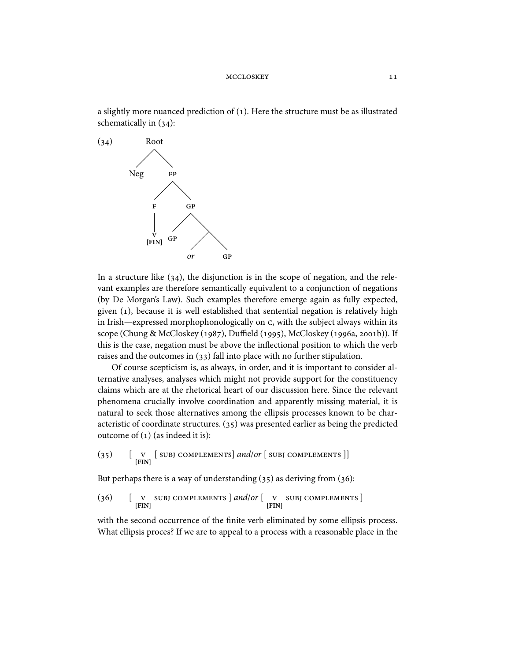a slightly more nuanced prediction of  $(1)$ . Here the structure must be as illustrated schematically in  $(34)$ :



In a structure like  $(34)$ , the disjunction is in the scope of negation, and the relevant examples are therefore semantically equivalent to a conjunction of negations (by De Morgan's Law). Such examples therefore emerge again as fully expected, given  $(1)$ , because it is well established that sentential negation is relatively high in Irish—expressed morphophonologically on c, with the subject always within its scope (Chung & McCloskey (1987), Duffield (1995), McCloskey (1996a, 2001b)). If this is the case, negation must be above the inflectional position to which the verb raises and the outcomes in  $(33)$  fall into place with no further stipulation.

Of course scepticism is, as always, in order, and it is important to consider alternative analyses, analyses which might not provide support for the constituency claims which are at the rhetorical heart of our discussion here. Since the relevant phenomena crucially involve coordination and apparently missing material, it is natural to seek those alternatives among the ellipsis processes known to be characteristic of coordinate structures.  $(35)$  was presented earlier as being the predicted outcome of  $(1)$  (as indeed it is):

 $(35)$  [ **v** [SUBJ COMPLEMENTS] *and/or* [SUBJ COMPLEMENTS]]

But perhaps there is a way of understanding  $(35)$  as deriving from  $(36)$ :

(36)  $\begin{bmatrix} \n\mathbf{v} & \n\mathbf{SUB} & \n\mathbf{v} & \n\end{bmatrix}$  COMPLEMENTS  $\begin{bmatrix} \n\mathbf{v} & \n\mathbf{v} & \n\end{bmatrix}$  SUBJ COMPLEMENTS  $\begin{bmatrix} \n\mathbf{FIN} \n\end{bmatrix}$ 

with the second occurrence of the finite verb eliminated by some ellipsis process. What ellipsis proces? If we are to appeal to a process with a reasonable place in the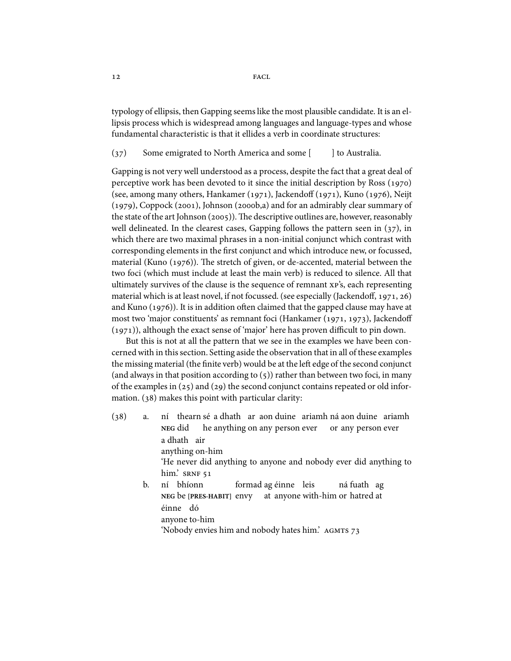typology of ellipsis, then Gapping seems like the most plausible candidate. It is an ellipsis process which is widespread among languages and language-types and whose fundamental characteristic is that it ellides a verb in coordinate structures:

 $(37)$  Some emigrated to North America and some  $\lceil$  l to Australia.

Gapping is not very well understood as a process, despite the fact that a great deal of perceptive work has been devoted to it since the initial description by Ross  $(1970)$ (see, among many others, Hankamer  $(1971)$ , Jackendoff  $(1971)$ , Kuno  $(1976)$ , Neijt  $(1979)$ , Coppock (2001), Johnson (2000b,a) and for an admirably clear summary of the state of the art Johnson  $(2005)$ . The descriptive outlines are, however, reasonably well delineated. In the clearest cases, Gapping follows the pattern seen in  $(37)$ , in which there are two maximal phrases in a non-initial conjunct which contrast with corresponding elements in the first conjunct and which introduce new, or focussed, material (Kuno  $(1976)$ ). The stretch of given, or de-accented, material between the two foci (which must include at least the main verb) is reduced to silence. All that ultimately survives of the clause is the sequence of remnant  $xp's$ , each representing material which is at least novel, if not focussed. (see especially (Jackendoff, 1971, 26) and Kuno  $(1976)$ ). It is in addition often claimed that the gapped clause may have at most two 'major constituents' as remnant foci (Hankamer (1971, 1973), Jackendoff  $(1971)$ , although the exact sense of 'major' here has proven difficult to pin down.

But this is not at all the pattern that we see in the examples we have been concerned with in this section. Setting aside the observation that in all of these examples the missing material (the finite verb) would be at the left edge of the second conjunct (and always in that position according to  $(5)$ ) rather than between two foci, in many of the examples in  $(25)$  and  $(29)$  the second conjunct contains repeated or old information.  $(38)$  makes this point with particular clarity:

- $(38)$  a. **NEG** did thearn sé a dhath ar aon duine ariamh ná aon duine ariamh he anything on any person ever or any person ever a dhath air anything on-him 'He never did anything to anyone and nobody ever did anything to him.' SRNF 51 b. ní bhíonn formad ag éinne leis ná fuath ag
	- **NEG** be **[PRES-HABIT]** envy at anyone with-him or hatred at éinne dó anyone to-him 'Nobody envies him and nobody hates him.'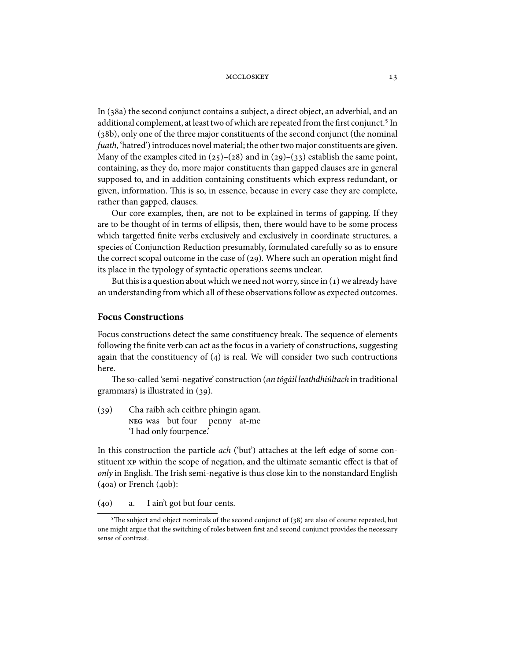In (38a) the second conjunct contains a subject, a direct object, an adverbial, and an additional complement, at least two of which are repeated from the first conjunct.<sup>5</sup> In (38b), only one of the three major constituents of the second conjunct (the nominal fuath, 'hatred') introduces novel material; the other two major constituents are given. Many of the examples cited in  $(25)-(28)$  and in  $(29)-(33)$  establish the same point, containing, as they do, more major constituents than gapped clauses are in general supposed to, and in addition containing constituents which express redundant, or given, information. This is so, in essence, because in every case they are complete, rather than gapped, clauses.

Our core examples, then, are not to be explained in terms of gapping. If they are to be thought of in terms of ellipsis, then, there would have to be some process which targetted finite verbs exclusively and exclusively in coordinate structures, a species of Conjunction Reduction presumably, formulated carefully so as to ensure the correct scopal outcome in the case of  $(29)$ . Where such an operation might find its place in the typology of syntactic operations seems unclear.

But this is a question about which we need not worry, since in  $(1)$  we already have an understanding from which all of these observations follow as expected outcomes.

### **Focus Constructions**

Focus constructions detect the same constituency break. The sequence of elements following the finite verb can act as the focus in a variety of constructions, suggesting again that the constituency of  $(4)$  is real. We will consider two such contructions here.

The so-called 'semi-negative' construction (an tógáil leathdhiúltach in traditional grammars) is illustrated in  $(39)$ .

(39) Cha raibh ach ceithre phingin agam. **NEG** was but four penny at-me 'I had only fourpence.'

In this construction the particle *ach* ('but') attaches at the left edge of some constituent xp within the scope of negation, and the ultimate semantic effect is that of only in English. The Irish semi-negative is thus close kin to the nonstandard English  $(40a)$  or French  $(40b)$ :

(40) a. I ain't got but four cents.

<sup>&</sup>lt;sup>5</sup>The subject and object nominals of the second conjunct of  $(38)$  are also of course repeated, but one might argue that the switching of roles between first and second conjunct provides the necessary sense of contrast.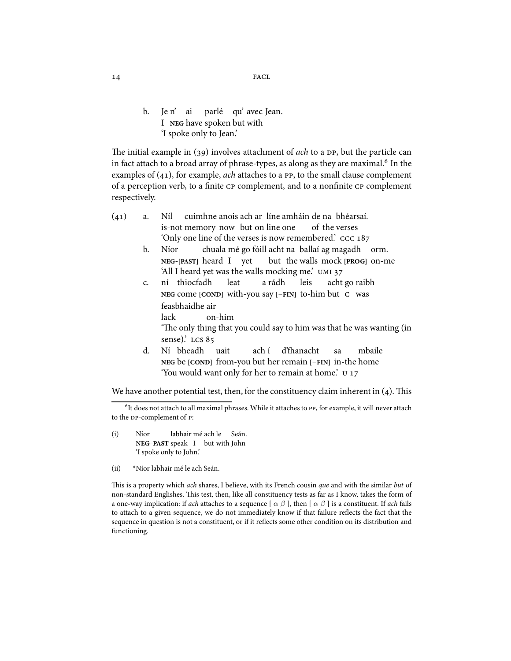14 FACL

b. Je n' ai I **NEG** have spoken but with parlé qu' avec Jean. 'I spoke only to Jean.'

The initial example in  $(39)$  involves attachment of *ach* to a DP, but the particle can in fact attach to a broad array of phrase-types, as along as they are maximal.<sup>6</sup> In the examples of  $(41)$ , for example, *ach* attaches to a PP, to the small clause complement of a perception verb, to a finite CP complement, and to a nonfinite CP complement respectively.

- $(41)$  a. Níl is-not memory now but on line one cuimhne anois ach ar líne amháin de na bhéarsaí. of the verses 'Only one line of the verses is now remembered.'
	- b. Níor **NEG**-**[PAST]** heard I yet chuala mé go fóill acht na ballaí ag magadh orm. but the walls mock **[PROG]** on-me 'All I heard yet was the walls mocking me.'
	- c. ní thiocfadh **NEG** come **[COND]** with-you say **[**−**FIN]** to-him but **C** was leat a rádh leis acht go raibh feasbhaidhe air lack on-him

'The only thing that you could say to him was that he was wanting (in sense).' LCS 85

d. Ní bheadh **NEG** be **[COND]** from-you but her remain **[**−**FIN]** in-the home uait ach í d'fhanacht sa mbaile 'You would want only for her to remain at home.'

We have another potential test, then, for the constituency claim inherent in  $(4)$ . This

- (i) Níor **NEG–PAST** speak I but with John labhair mé ach le Seán. 'I spoke only to John.'
- (ii) \*Níor labhair mé le ach Seán.

This is a property which ach shares, I believe, with its French cousin que and with the similar but of non-standard Englishes. This test, then, like all constituency tests as far as I know, takes the form of a one-way implication: if ach attaches to a sequence  $\lceil \alpha \beta \rceil$ , then  $\lceil \alpha \beta \rceil$  is a constituent. If ach fails to attach to a given sequence, we do not immediately know if that failure reflects the fact that the sequence in question is not a constituent, or if it reflects some other condition on its distribution and functioning.

 ${}^{6}$ It does not attach to all maximal phrases. While it attaches to PP, for example, it will never attach to the DP-complement of P: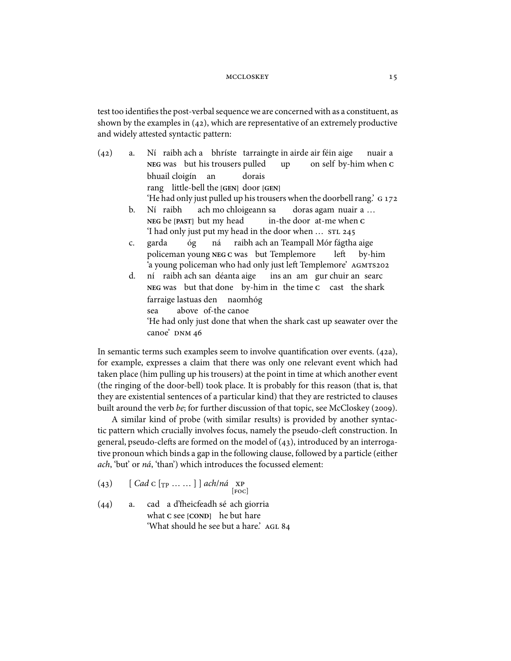test too identifies the post-verbal sequence we are concernedwith as a constituent, as shown by the examples in  $(42)$ , which are representative of an extremely productive and widely attested syntactic pattern:

- $(42)$  a. **NEG** was but his trousers pulled raibh ach a bhríste tarraingte in airde air féin aige up on self by-him when **C** nuair a bhuail cloigín an rang little-bell the **[GEN]** door **[GEN]** dorais 'He had only just pulled up his trousers when the doorbell rang.' b. Ní raibh **NEG** be **[PAST]** but my head ach mo chloigeann sa in-the door at-me when **C** doras agam nuair a … 'I had only just put my head in the door when …
	- c. garda policeman young **NEG C** was but Templemore óg ná raibh ach an Teampall Mór fágtha aige le by-him 'a young policeman who had only just le
	Templemore'
	- d. **NEG** was but that done by-him in the time **C** cast the shark raibh ach san déanta aige ins an am gur chuir an searc farraige lastuas den naomhóg sea above of-the canoe 'He had only just done that when the shark cast up seawater over the canoe' DNM 46

In semantic terms such examples seem to involve quantification over events.  $(42a)$ , for example, expresses a claim that there was only one relevant event which had taken place (him pulling up his trousers) at the point in time at which another event (the ringing of the door-bell) took place. It is probably for this reason (that is, that they are existential sentences of a particular kind) that they are restricted to clauses built around the verb be; for further discussion of that topic, see McCloskey (2009).

A similar kind of probe (with similar results) is provided by another syntactic pattern which crucially involves focus, namely the pseudo-cleft construction. In general, pseudo-clefts are formed on the model of  $(43)$ , introduced by an interrogative pronoun which binds a gap in the following clause, followed by a particle (either ach, 'but' or ná, 'than') which introduces the focussed element:

- (43)  $[$   $Cad C [$ TP  $...$   $]$   $]$   $ach/nd$  xp  $[{\rm Foc}]$
- $(44)$  a. what **C** see **[COND]** he but hare a d'fheicfeadh sé ach giorria 'What should he see but a hare.' AGL 84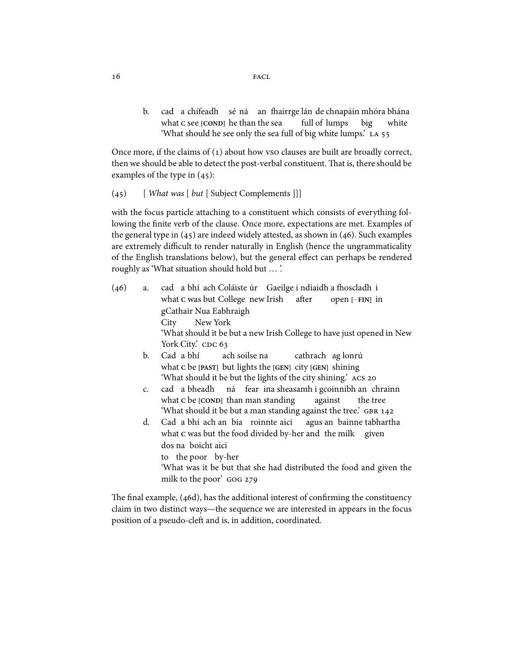b. cad a chífeadh sé ná an -airrge lán de chnapáin mhóra bhána what c see [COND] he than the sea full of lumps big white 'What should he see only the sea full of big white lumps.'

Once more, if the claims of  $(1)$  about how vso clauses are built are broadly correct, then we should be able to detect the post-verbal constituent. That is, there should be examples of the type in  $(45)$ :

 $(45)$  [ What was [ but [ Subject Complements ]]]

with the focus particle attaching to a constituent which consists of everything following the finite verb of the clause. Once more, expectations are met. Examples of the general type in  $(45)$  are indeed widely attested, as shown in  $(46)$ . Such examples are extremely difficult to render naturally in English (hence the ungrammaticality of the English translations below), but the general effect can perhaps be rendered roughly as 'What situation should hold but … '.

- $(46)$  a. what **c** was but College new Irish a bhí ach Coláiste úr - Gaeilge i ndiaidh a fhoscladh-i after open **[**−**FIN]** in gCathair Nua Eabhraigh **City** New York 'What should it be but a new Irish College to have just opened in New York City.' CDC 63
	- b. Cad a bhí what **C** be **[PAST]** but lights the **[GEN]** city **[GEN]** shining ach soilse na cathrach ag lonrú 'What should it be but the lights of the city shining.'
	- c. cad a bheadh what **C** be **[COND]** than man standing ná fear ina sheasamh i gcoinnibh an chrainn against the tree 'What should it be but a man standing against the tree.' GBR 142
	- d. Cad a bhí ach an bia roinnte aici what c was but the food divided by-her and the milk given agus an bainne tabhartha dos na boicht aici to the poor by-her 'What was it be but that she had distributed the food and given the milk to the poor' GOG 279

The final example, (46d), has the additional interest of confirming the constituency claim in two distinct ways—the sequence we are interested in appears in the focus position of a pseudo-cleft and is, in addition, coordinated.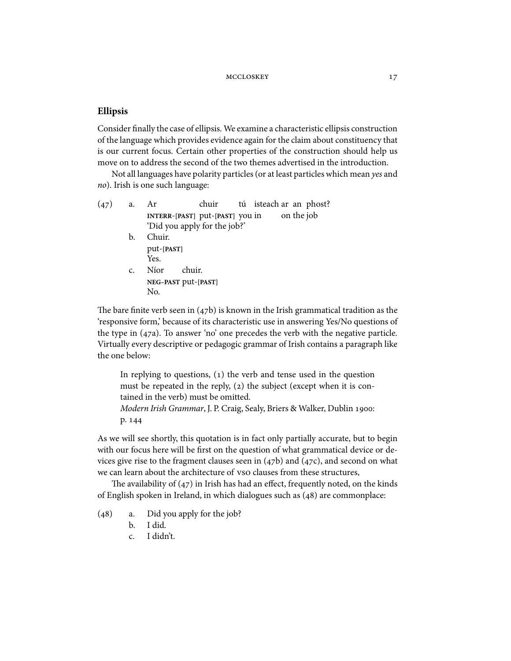### **Ellipsis**

Consider finally the case of ellipsis. We examine a characteristic ellipsis construction of the language which provides evidence again for the claim about constituency that is our current focus. Certain other properties of the construction should help us move on to address the second of the two themes advertised in the introduction.

Not all languages have polarity particles (or at least particles which mean yes and no). Irish is one such language:

| (47) | a. | Ar                              | chuir tú isteach ar an phost? |  |  |            |
|------|----|---------------------------------|-------------------------------|--|--|------------|
|      |    | INTERR-[PAST] put-[PAST] you in |                               |  |  | on the job |
|      |    | 'Did you apply for the job?'    |                               |  |  |            |
|      | b. | Chuir.                          |                               |  |  |            |
|      |    | put-[PAST]                      |                               |  |  |            |
|      |    | Yes.                            |                               |  |  |            |

c. Níor **NEG–PAST** put-**[PAST]** chuir. No.

The bare finite verb seen in  $(47b)$  is known in the Irish grammatical tradition as the 'responsive form,' because of its characteristic use in answering Yes/No questions of the type in  $(47a)$ . To answer 'no' one precedes the verb with the negative particle. Virtually every descriptive or pedagogic grammar of Irish contains a paragraph like the one below:

In replying to questions,  $(1)$  the verb and tense used in the question must be repeated in the reply,  $(z)$  the subject (except when it is contained in the verb) must be omitted. Modern Irish Grammar, J. P. Craig, Sealy, Briers & Walker, Dublin : p. 144

As we will see shortly, this quotation is in fact only partially accurate, but to begin with our focus here will be first on the question of what grammatical device or devices give rise to the fragment clauses seen in  $(47b)$  and  $(47c)$ , and second on what we can learn about the architecture of vso clauses from these structures,

The availability of  $(47)$  in Irish has had an effect, frequently noted, on the kinds of English spoken in Ireland, in which dialogues such as  $(48)$  are commonplace:

- $(48)$  a. Did you apply for the job?
	- b. I did.
	- c. I didn't.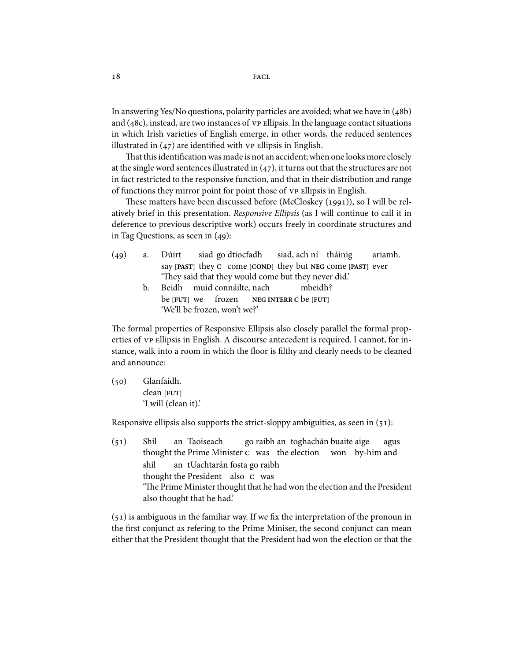In answering Yes/No questions, polarity particles are avoided; what we have in  $(48b)$ and  $(48c)$ , instead, are two instances of  $v$  e Ellipsis. In the language contact situations in which Irish varieties of English emerge, in other words, the reduced sentences illustrated in  $(47)$  are identified with  $VP$  ellipsis in English.

That this identification was made is not an accident; when one looks more closely at the single word sentences illustrated in  $(47)$ , it turns out that the structures are not in fact restricted to the responsive function, and that in their distribution and range of functions they mirror point for point those of vp ellipsis in English.

These matters have been discussed before (McCloskey (1991)), so I will be relatively brief in this presentation. Responsive Ellipsis (as I will continue to call it in deference to previous descriptive work) occurs freely in coordinate structures and in Tag Questions, as seen in  $(49)$ :

- $(49)$  a. Dúirt say [PAST] they c come [COND] they but NEG come [PAST] ever siad go dtiocfadh siad, ach ní tháinig ariamh. 'They said that they would come but they never did.'
	- b. Beidh muid connáilte, nach be **[FUT]** we frozen **NEG INTERR C** be **[FUT]** mbeidh? 'We'll be frozen, won't we?'

The formal properties of Responsive Ellipsis also closely parallel the formal properties of vp Ellipsis in English. A discourse antecedent is required. I cannot, for instance, walk into a room in which the floor is filthy and clearly needs to be cleaned and announce:

(50) Glanfaidh. clean **[FUT]** 'I will (clean it).'

Responsive ellipsis also supports the strict-sloppy ambiguities, as seen in  $(51)$ :

 $(51)$  Shíl thought the Prime Minister c was the election won by-him and an Taoiseach go raibh an toghachán buaite aige agus shíl thought the President also **C** was an tUachtarán fosta go raibh 'The Prime Minister thought that he had won the election and the President also thought that he had.'

 $(51)$  is ambiguous in the familiar way. If we fix the interpretation of the pronoun in the first conjunct as refering to the Prime Miniser, the second conjunct can mean either that the President thought that the President had won the election or that the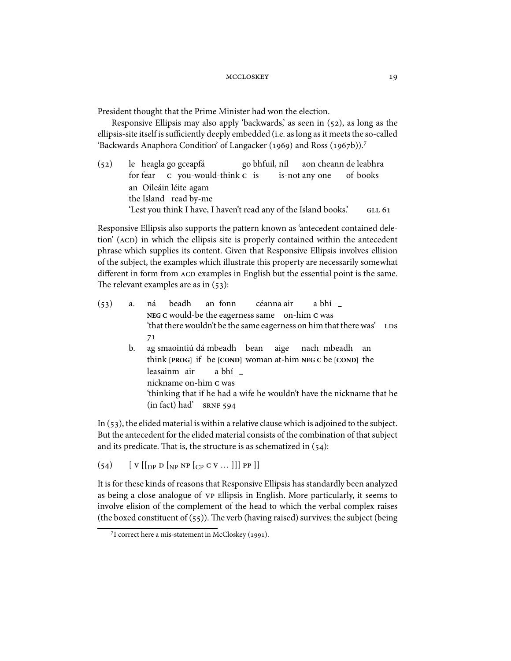President thought that the Prime Minister had won the election.

Responsive Ellipsis may also apply 'backwards', as seen in  $(52)$ , as long as the ellipsis-site itself is sufficiently deeply embedded (i.e. as long as it meets the so-called 'Backwards Anaphora Condition' of Langacker (1969) and Ross (1967b)).<sup>7</sup>

 $(52)$ for fear heagla go gceapfá **C** you-would-think **C** is go bhfuil, níl is-not any one aon cheann de leabhra of books an Oileáin léite agam the Island read by-me 'Lest you think I have, I haven't read any of the Island books.'

Responsive Ellipsis also supports the pattern known as 'antecedent contained deletion' (ACD) in which the ellipsis site is properly contained within the antecedent phrase which supplies its content. Given that Responsive Ellipsis involves ellision of the subject, the examples which illustrate this property are necessarily somewhat different in form from ACD examples in English but the essential point is the same. The relevant examples are as in  $(53)$ :

| (53) | a. | ná beadh an fonn céanna air a bhí _                                                                                     |
|------|----|-------------------------------------------------------------------------------------------------------------------------|
|      |    | NEG C would-be the eagerness same on-him C was<br>'that there wouldn't be the same eagerness on him that there was' LDS |
|      |    | 71                                                                                                                      |
|      | b. | ag smaointiú dá mbeadh bean aige nach mbeadh an<br>think [PROG] if be [COND] woman at-him NEG C be [COND] the           |
|      |    | leasainm air a bhí _<br>nickname on-him c was                                                                           |
|      |    | 'thinking that if he had a wife he wouldn't have the nickname that he<br>$(in fact) had'$ SRNF 594                      |

In  $(53)$ , the elided material is within a relative clause which is adjoined to the subject. But the antecedent for the elided material consists of the combination of that subject and its predicate. That is, the structure is as schematized in  $(54)$ :

 $(54)$  [ V  $[$ [<sub>DP</sub> D  $[$ <sub>NP</sub> NP  $[$ <sub>CP</sub> C V ... ]]] PP ]]

It is for these kinds of reasons that Responsive Ellipsis has standardly been analyzed as being a close analogue of vp ellipsis in English. More particularly, it seems to involve elision of the complement of the head to which the verbal complex raises (the boxed constituent of  $(55)$ ). The verb (having raised) survives; the subject (being

 $7$ I correct here a mis-statement in McCloskey (1991).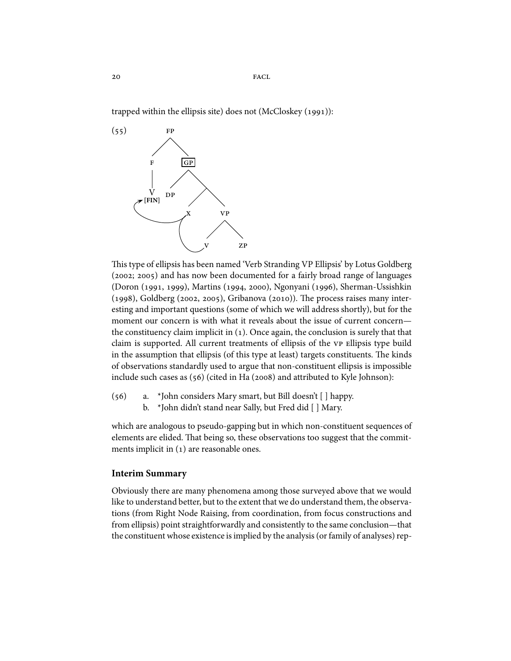trapped within the ellipsis site) does not (McCloskey  $(1991)$ ):



This type of ellipsis has been named 'Verb Stranding VP Ellipsis' by Lotus Goldberg (2002; 2005) and has now been documented for a fairly broad range of languages (Doron (1991, 1999), Martins (1994, 2000), Ngonyani (1996), Sherman-Ussishkin  $(1998)$ , Goldberg (2002, 2005), Gribanova (2010)). The process raises many interesting and important questions (some of which we will address shortly), but for the moment our concern is with what it reveals about the issue of current concern the constituency claim implicit in  $(1)$ . Once again, the conclusion is surely that that claim is supported. All current treatments of ellipsis of the vP Ellipsis type build in the assumption that ellipsis (of this type at least) targets constituents. The kinds of observations standardly used to argue that non-constituent ellipsis is impossible include such cases as  $(56)$  (cited in Ha (2008) and attributed to Kyle Johnson):

- $(56)$  a. \*John considers Mary smart, but Bill doesn't [ ] happy.
	- b. \*John didn't stand near Sally, but Fred did [ ] Mary.

which are analogous to pseudo-gapping but in which non-constituent sequences of elements are elided. That being so, these observations too suggest that the commitments implicit in  $(1)$  are reasonable ones.

### **Interim Summary**

Obviously there are many phenomena among those surveyed above that we would like to understand better, but to the extent that we do understand them, the observations (from Right Node Raising, from coordination, from focus constructions and from ellipsis) point straightforwardly and consistently to the same conclusion—that the constituent whose existence is implied by the analysis (or family of analyses) rep-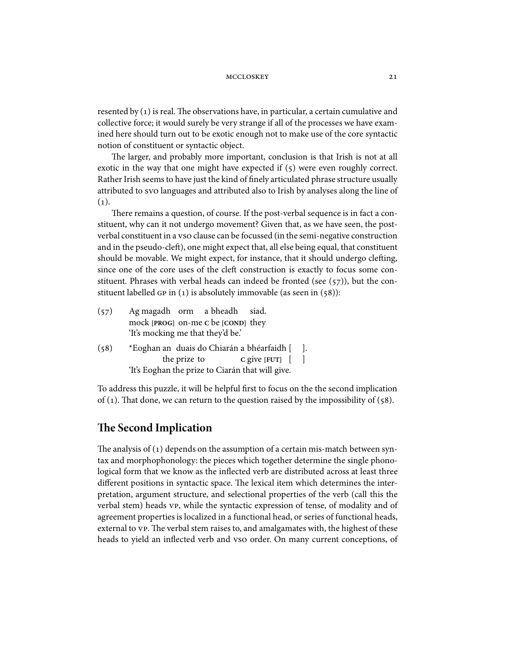resented by  $(1)$  is real. The observations have, in particular, a certain cumulative and collective force; it would surely be very strange if all of the processes we have examined here should turn out to be exotic enough not to make use of the core syntactic notion of constituent or syntactic object.

The larger, and probably more important, conclusion is that Irish is not at all exotic in the way that one might have expected if  $(5)$  were even roughly correct. Rather Irish seems to have just the kind of finely articulated phrase structure usually attributed to svo languages and attributed also to Irish by analyses along the line of  $(1).$ 

There remains a question, of course. If the post-verbal sequence is in fact a constituent, why can it not undergo movement? Given that, as we have seen, the postverbal constituent in a vso clause can be focussed (in the semi-negative construction and in the pseudo-cleft), one might expect that, all else being equal, that constituent should be movable. We might expect, for instance, that it should undergo clefting, since one of the core uses of the cleft construction is exactly to focus some constituent. Phrases with verbal heads can indeed be fronted (see  $(57)$ ), but the constituent labelled  $GP$  in  $(1)$  is absolutely immovable (as seen in  $(58)$ ):

| (57) | Ag magadh orm a bheadh siad.                     |      |
|------|--------------------------------------------------|------|
|      | mock [PROG] on-me C be [COND] they               |      |
|      | 'It's mocking me that they'd be.'                |      |
| (58) | *Eoghan an duais do Chiarán a bhéarfaidh [       | - 1. |
|      | the prize to<br>C give $[$ FUT $]$ $[$ $]$       |      |
|      | 'It's Eoghan the prize to Ciarán that will give. |      |

To address this puzzle, it will be helpful first to focus on the the second implication of (1). That done, we can return to the question raised by the impossibility of (58).

# **e Second Implication**

The analysis of  $(1)$  depends on the assumption of a certain mis-match between syntax and morphophonology: the pieces which together determine the single phonological form that we know as the inflected verb are distributed across at least three different positions in syntactic space. The lexical item which determines the interpretation, argument structure, and selectional properties of the verb (call this the verbal stem) heads vp, while the syntactic expression of tense, of modality and of agreement properties is localized in a functional head, or series of functional heads, external to VP. The verbal stem raises to, and amalgamates with, the highest of these heads to yield an inflected verb and vso order. On many current conceptions, of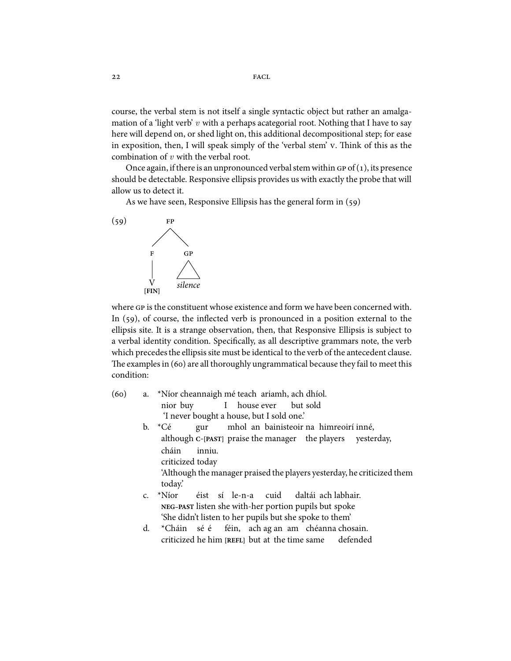course, the verbal stem is not itself a single syntactic object but rather an amalgamation of a 'light verb'  $v$  with a perhaps acategorial root. Nothing that I have to say here will depend on, or shed light on, this additional decompositional step; for ease in exposition, then, I will speak simply of the 'verbal stem' v. Think of this as the combination of  $v$  with the verbal root.

Once again, if there is an unpronounced verbal stem within  $GP$  of  $(1)$ , its presence should be detectable. Responsive ellipsis provides us with exactly the probe that will allow us to detect it.

As we have seen, Responsive Ellipsis has the general form in  $(59)$ 



where GP is the constituent whose existence and form we have been concerned with. In  $(59)$ , of course, the inflected verb is pronounced in a position external to the ellipsis site. It is a strange observation, then, that Responsive Ellipsis is subject to a verbal identity condition. Specifically, as all descriptive grammars note, the verb which precedes the ellipsis site must be identical to the verb of the antecedent clause. The examples in  $(60)$  are all thoroughly ungrammatical because they fail to meet this condition:

- (60) a. \*Níor cheannaigh mé teach ariamh, ach dhíol. nior buy I house ever but sold 'I never bought a house, but I sold one.'
	- b. \*Cé although **C**-**[PAST]** praise the manager the players gur mhol an bainisteoir na himreoirí inné, yesterday, cháin criticized today inniu. 'Although the manager praised the players yesterday, he criticized them today.'
	- c. \*Níor **NEG–PAST** listen she with-her portion pupils but spoke éist sí le-n-a cuid daltái ach labhair. 'She didn't listen to her pupils but she spoke to them'
	- d. \*Cháin criticized he him **[REFL]** but at the time same sé é féin, ach ag an am chéanna chosain. defended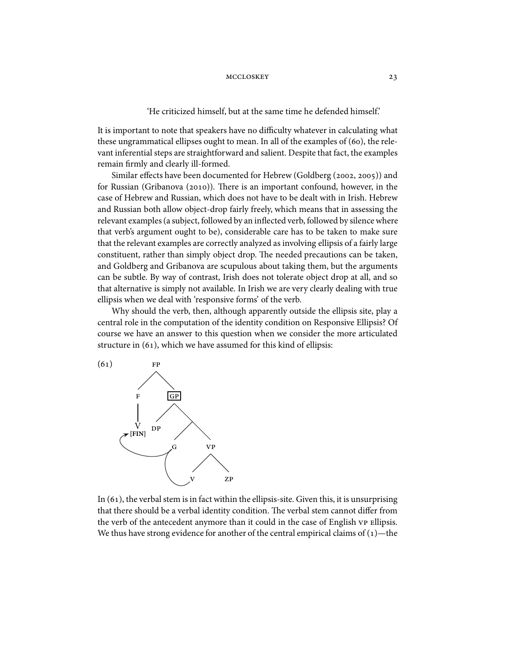'He criticized himself, but at the same time he defended himself.'

It is important to note that speakers have no difficulty whatever in calculating what these ungrammatical ellipses ought to mean. In all of the examples of  $(60)$ , the relevant inferential steps are straightforward and salient. Despite that fact, the examples remain firmly and clearly ill-formed.

Similar effects have been documented for Hebrew (Goldberg (2002, 2005)) and for Russian (Gribanova (2010)). There is an important confound, however, in the case of Hebrew and Russian, which does not have to be dealt with in Irish. Hebrew and Russian both allow object-drop fairly freely, which means that in assessing the relevant examples (a subject, followed by an inflected verb, followed by silence where that verb's argument ought to be), considerable care has to be taken to make sure that the relevant examples are correctly analyzed as involving ellipsis of a fairly large constituent, rather than simply object drop. The needed precautions can be taken, and Goldberg and Gribanova are scupulous about taking them, but the arguments can be subtle. By way of contrast, Irish does not tolerate object drop at all, and so that alternative is simply not available. In Irish we are very clearly dealing with true ellipsis when we deal with 'responsive forms' of the verb.

Why should the verb, then, although apparently outside the ellipsis site, play a central role in the computation of the identity condition on Responsive Ellipsis? Of course we have an answer to this question when we consider the more articulated structure in  $(61)$ , which we have assumed for this kind of ellipsis:



In  $(61)$ , the verbal stem is in fact within the ellipsis-site. Given this, it is unsurprising that there should be a verbal identity condition. The verbal stem cannot differ from the verb of the antecedent anymore than it could in the case of English vp Ellipsis. We thus have strong evidence for another of the central empirical claims of  $(1)$ —the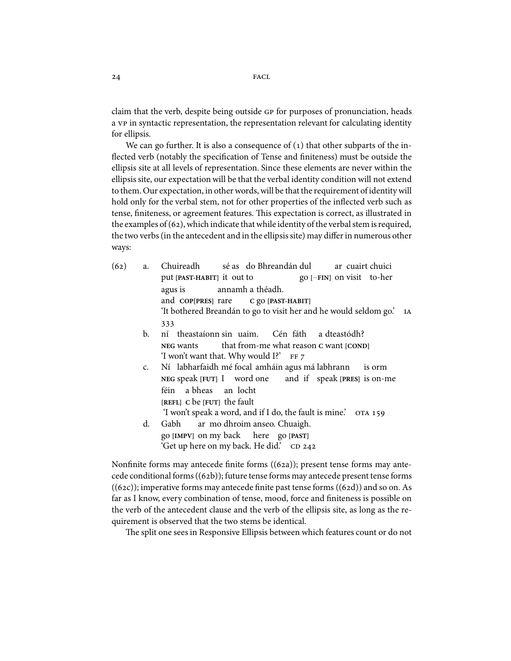claim that the verb, despite being outside GP for purposes of pronunciation, heads a vp in syntactic representation, the representation relevant for calculating identity for ellipsis.

We can go further. It is also a consequence of  $(1)$  that other subparts of the inflected verb (notably the specification of Tense and finiteness) must be outside the ellipsis site at all levels of representation. Since these elements are never within the ellipsis site, our expectation will be that the verbal identity condition will not extend to them. Our expectation, in other words, will be that the requirement of identity will hold only for the verbal stem, not for other properties of the inflected verb such as tense, finiteness, or agreement features. This expectation is correct, as illustrated in the examples of  $(62)$ , which indicate that while identity of the verbal stem is required, the two verbs (in the antecedent and in the ellipsis site) may differ in numerous other ways:

(62) a. Chuireadh put [PAST-HABIT] it out to sé as do Bhreandán dul go **[**−**FIN]** on visit to-her ar cuairt chuici agus is and **COP[PRES]** rare annamh a théadh. **C** go **[PAST-HABIT]** 'It bothered Breandán to go to visit her and he would seldom go.' 333 b. ní theastaíonn sin uaim. **NEG** wants that from-me what reason **C** want **[COND]** Cén fáth a dteastódh? 'I won't want that. Why would I?' c. **NEG** speak **[FUT]** I word one labharfaidh mé focal amháin agus má labhrann and if speak **[PRES]** is on-me is orm féin a bheas an locht **[REFL] C** be **[FUT]** the fault 'I won't speak a word, and if I do, the fault is mine.' d. Gabh go **[IMPV]** on my back ar mo dhroim anseo. Chuaigh. here go **[PAST]**

'Get up here on my back. He did.' CD 242 Nonfinite forms may antecede finite forms  $((62a))$ ; present tense forms may ante-

cede conditional forms  $((62b))$ ; future tense forms may antecede present tense forms  $((62c))$ ; imperative forms may antecede finite past tense forms  $((62d))$  and so on. As far as I know, every combination of tense, mood, force and finiteness is possible on the verb of the antecedent clause and the verb of the ellipsis site, as long as the requirement is observed that the two stems be identical.

The split one sees in Responsive Ellipsis between which features count or do not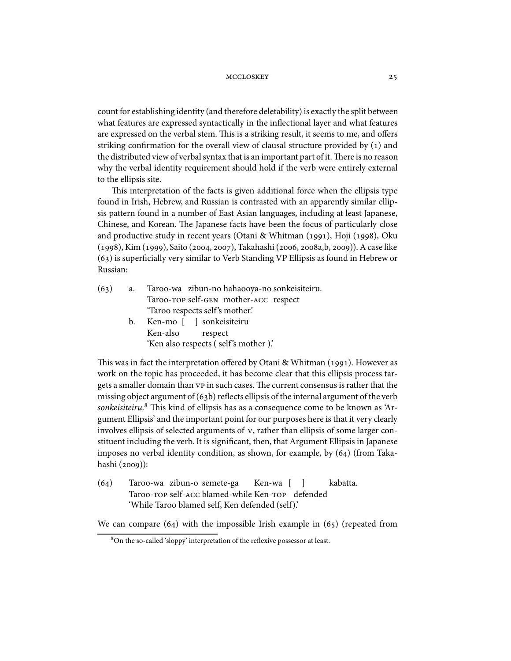count for establishing identity (and therefore deletability) is exactly the split between what features are expressed syntactically in the inflectional layer and what features are expressed on the verbal stem. This is a striking result, it seems to me, and offers striking confirmation for the overall view of clausal structure provided by  $(1)$  and the distributed view of verbal syntax that is an important part of it. There is no reason why the verbal identity requirement should hold if the verb were entirely external to the ellipsis site.

This interpretation of the facts is given additional force when the ellipsis type found in Irish, Hebrew, and Russian is contrasted with an apparently similar ellipsis pattern found in a number of East Asian languages, including at least Japanese, Chinese, and Korean. The Japanese facts have been the focus of particularly close and productive study in recent years (Otani & Whitman (1991), Hoji (1998), Oku (1998), Kim (1999), Saito (2004, 2007), Takahashi (2006, 2008a,b, 2009)). A case like  $(63)$  is superficially very similar to Verb Standing VP Ellipsis as found in Hebrew or Russian:

| (63) | a. | Taroo-wa zibun-no hahaooya-no sonkeisiteiru. |
|------|----|----------------------------------------------|
|      |    | Taroo-TOP self-GEN mother-ACC respect        |
|      |    | 'Taroo respects self's mother.'              |
|      | b. | Ken-mo [ ] sonkeisiteiru                     |
|      |    | Ken-also respect                             |
|      |    | 'Ken also respects (self's mother).'         |
|      |    |                                              |

This was in fact the interpretation offered by Otani & Whitman (1991). However as work on the topic has proceeded, it has become clear that this ellipsis process targets a smaller domain than  $vp$  in such cases. The current consensus is rather that the missing object argument of  $(63b)$  reflects ellipsis of the internal argument of the verb sonkeisiteiru.<sup>8</sup> This kind of ellipsis has as a consequence come to be known as 'Argument Ellipsis' and the important point for our purposes here is that it very clearly involves ellipsis of selected arguments of  $v$ , rather than ellipsis of some larger constituent including the verb. It is significant, then, that Argument Ellipsis in Japanese imposes no verbal identity condition, as shown, for example, by  $(64)$  (from Takahashi (2009)):

(64) Taroo-wa zibun-o semete-ga Taroo-TOP self-ACC blamed-while Ken-TOP defended Ken-wa [ ] kabatta. 'While Taroo blamed self, Ken defended (self).'

We can compare  $(64)$  with the impossible Irish example in  $(65)$  (repeated from

On the so-called 'sloppy' interpretation of the reflexive possessor at least.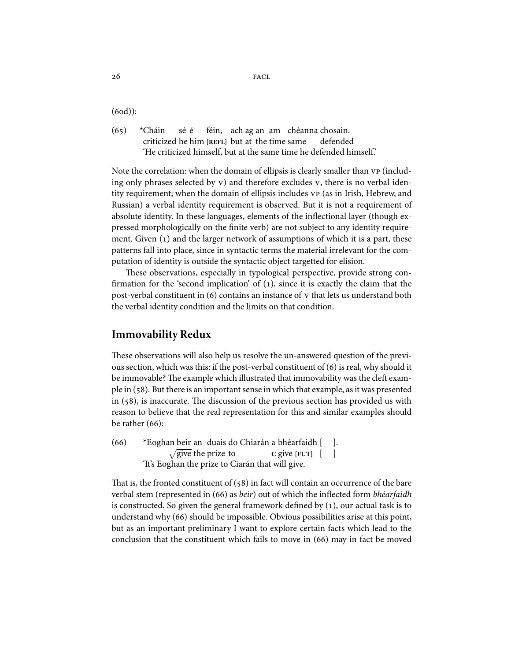$(6od)$ :

 $(65)$  \*Cháin criticized he him **[REFL]** but at the time same sé é féin, ach ag an am chéanna chosain. defended 'He criticized himself, but at the same time he defended himself.'

Note the correlation: when the domain of ellipsis is clearly smaller than  $VP$  (including only phrases selected by v) and therefore excludes v, there is no verbal identity requirement; when the domain of ellipsis includes  $VP$  (as in Irish, Hebrew, and Russian) a verbal identity requirement is observed. But it is not a requirement of absolute identity. In these languages, elements of the inflectional layer (though expressed morphologically on the finite verb) are not subject to any identity requirement. Given  $(1)$  and the larger network of assumptions of which it is a part, these patterns fall into place, since in syntactic terms the material irrelevant for the computation of identity is outside the syntactic object targetted for elision.

These observations, especially in typological perspective, provide strong confirmation for the 'second implication' of  $(1)$ , since it is exactly the claim that the post-verbal constituent in  $(6)$  contains an instance of y that lets us understand both the verbal identity condition and the limits on that condition.

# **Immovability Redux**

These observations will also help us resolve the un-answered question of the previous section, which was this: if the post-verbal constituent of  $(6)$  is real, why should it be immovable? The example which illustrated that immovability was the cleft example in (). But there is an important sense in which that example, as it was presented in  $(58)$ , is inaccurate. The discussion of the previous section has provided us with reason to believe that the real representation for this and similar examples should be rather  $(66)$ :

(66) \* Eoghan beir an duais do Chiarán a bhéarfaidh [  $\sqrt{\text{give}}$  the prize to **C** give **[FUT]** [ ]. ] 'It's Eoghan the prize to Ciarán that will give.

That is, the fronted constituent of  $(58)$  in fact will contain an occurrence of the bare verbal stem (represented in (66) as beir) out of which the inflected form bhéarfaidh is constructed. So given the general framework defined by  $(1)$ , our actual task is to understand why  $(66)$  should be impossible. Obvious possibilities arise at this point, but as an important preliminary I want to explore certain facts which lead to the conclusion that the constituent which fails to move in  $(66)$  may in fact be moved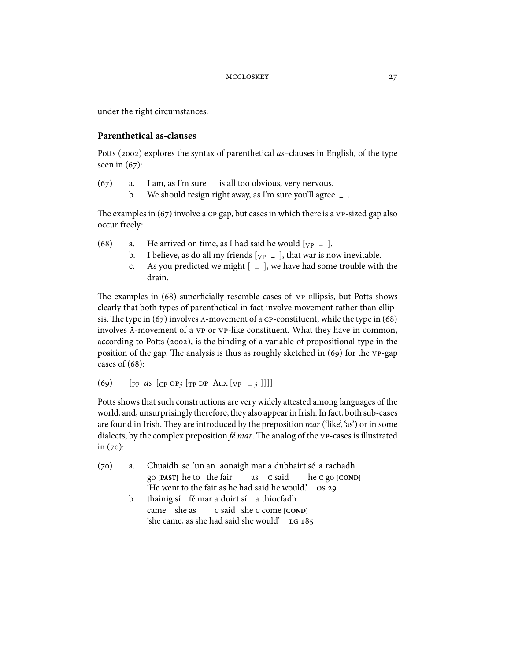under the right circumstances.

### **Parenthetical as-clauses**

Potts (2002) explores the syntax of parenthetical as–clauses in English, of the type seen in  $(67)$ :

- () a. I am, as I'm sure **–** is all too obvious, very nervous.
	- b. We should resign right away, as I'm sure you'll agree **–** .

The examples in  $(67)$  involve a  $CP$  gap, but cases in which there is a  $VP$ -sized gap also occur freely:

- (68) a. He arrived on time, as I had said he would  $[\text{vp} = ]$ .
	- b. I believe, as do all my friends  $[yP]$  = ], that war is now inevitable.
	- c. As you predicted we might [ **–** ], we have had some trouble with the drain.

The examples in (68) superficially resemble cases of  $VP$  Ellipsis, but Potts shows clearly that both types of parenthetical in fact involve movement rather than ellipsis. The type in  $(67)$  involves  $\overline{A}$ -movement of a cp-constituent, while the type in  $(68)$ involves  $\bar{A}$ -movement of a vp or vp-like constituent. What they have in common, according to Potts (2002), is the binding of a variable of propositional type in the position of the gap. The analysis is thus as roughly sketched in  $(69)$  for the  $VP$ -gap cases of  $(68)$ :

(69)  $[pP \text{ as } [CP \text{ OP}_i | TP \text{ DP} \text{ Aux } [VP - i]]]]$ 

Potts shows that such constructions are very widely attested among languages of the world, and, unsurprisingly therefore, they also appear in Irish. In fact, both sub-cases are found in Irish. They are introduced by the preposition  $mar$  ('like', 'as') or in some dialects, by the complex preposition  $f\acute{e}$  mar. The analog of the vp-cases is illustrated in  $(70):$ 

- (70) a. Chuaidh se 'un an aonaigh mar a dubhairt sé a rachadh go **[PAST]** he to the fair as **C** said he **C** go **[COND]** 'He went to the fair as he had said he would.'
	- b. thainig sí fé mar a duirt sí a thiocfadh came she as **C** said she **C** come **[COND]** 'she came, as she had said she would'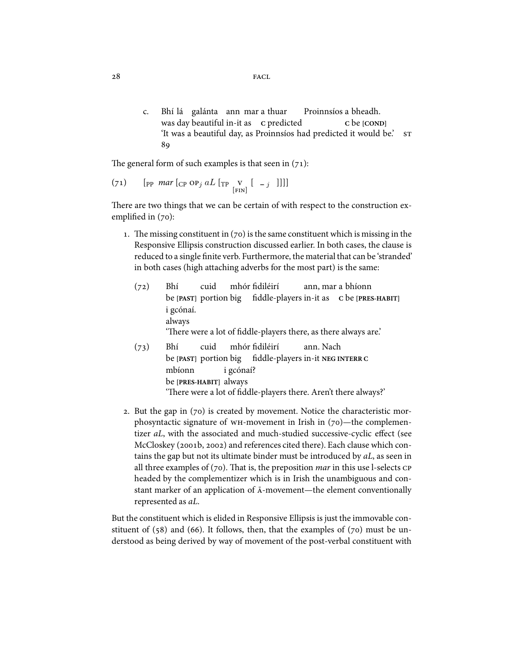c. Bhí lá galánta ann mar a thuar was day beautiful in-it as **C** predicted Proinnsíos a bheadh. **C** be **[COND]** 'It was a beautiful day, as Proinnsíos had predicted it would be.' 89

The general form of such examples is that seen in  $(71)$ :

$$
(71) \qquad [pp \text{ mar } [cp \text{ OP}_j aL [rp \text{ Y } [-j \text{ ]}]]]
$$

There are two things that we can be certain of with respect to the construction exemplified in  $(70)$ :

- 1. The missing constituent in  $(70)$  is the same constituent which is missing in the Responsive Ellipsis construction discussed earlier. In both cases, the clause is reduced to a single finite verb. Furthermore, the material that can be 'stranded' in both cases (high attaching adverbs for the most part) is the same:
	- $(72)$  Bhí be **[PAST]** portion big fiddle-players in-it as **C** be **[PRES-HABIT]** cuid mhór fidiléirí ann, mar a bhíonn i gcónaí. always 'There were a lot of fiddle-players there, as there always are.'  $(73)$  Bhí be **[PAST]** portion big fiddle-players in-it **NEG INTERR C** cuid mhór fidiléirí ann. Nach
	- mbíonn be **[PRES-HABIT]** always i gcónaí? 'There were a lot of fiddle-players there. Aren't there always?'
- 2. But the gap in  $(70)$  is created by movement. Notice the characteristic morphosyntactic signature of  $WH$ -movement in Irish in  $(70)$ —the complementizer aL, with the associated and much-studied successive-cyclic effect (see McCloskey (2001b, 2002) and references cited there). Each clause which contains the gap but not its ultimate binder must be introduced by aL, as seen in all three examples of  $(70)$ . That is, the preposition *mar* in this use l-selects CP headed by the complementizer which is in Irish the unambiguous and constant marker of an application of  $\bar{A}$ -movement—the element conventionally represented as aL.

But the constituent which is elided in Responsive Ellipsis is just the immovable constituent of  $(58)$  and  $(66)$ . It follows, then, that the examples of  $(70)$  must be understood as being derived by way of movement of the post-verbal constituent with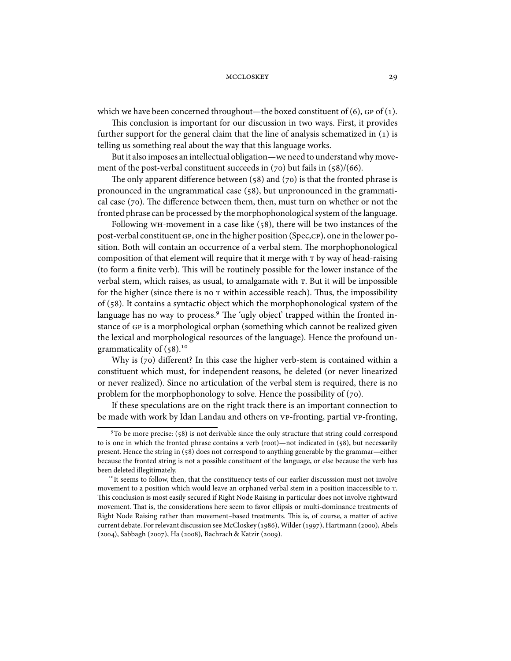which we have been concerned throughout—the boxed constituent of  $(6)$ ,  $GP$  of  $(1)$ .

This conclusion is important for our discussion in two ways. First, it provides further support for the general claim that the line of analysis schematized in (1) is telling us something real about the way that this language works.

But it also imposes an intellectual obligation—we need to understand why movement of the post-verbal constituent succeeds in  $(70)$  but fails in  $(58)/(66)$ .

The only apparent difference between (58) and (70) is that the fronted phrase is pronounced in the ungrammatical case  $(58)$ , but unpronounced in the grammatical case ( $70$ ). The difference between them, then, must turn on whether or not the fronted phrase can be processed by the morphophonological system of the language.

Following  $WH$ -movement in a case like ( $58$ ), there will be two instances of the post-verbal constituent GP, one in the higher position (Spec,CP), one in the lower position. Both will contain an occurrence of a verbal stem. The morphophonological composition of that element will require that it merge with  $\tau$  by way of head-raising (to form a finite verb). This will be routinely possible for the lower instance of the verbal stem, which raises, as usual, to amalgamate with  $T$ . But it will be impossible for the higher (since there is no  *within accessible reach). Thus, the impossibility* of  $(58)$ . It contains a syntactic object which the morphophonological system of the language has no way to process.<sup>9</sup> The 'ugly object' trapped within the fronted instance of GP is a morphological orphan (something which cannot be realized given the lexical and morphological resources of the language). Hence the profound ungrammaticality of  $(58).$ <sup>10</sup>

Why is  $(70)$  different? In this case the higher verb-stem is contained within a constituent which must, for independent reasons, be deleted (or never linearized or never realized). Since no articulation of the verbal stem is required, there is no problem for the morphophonology to solve. Hence the possibility of  $(70)$ .

If these speculations are on the right track there is an important connection to be made with work by Idan Landau and others on vp-fronting, partial vp-fronting,

 $9$ To be more precise:  $(58)$  is not derivable since the only structure that string could correspond to is one in which the fronted phrase contains a verb (root)—not indicated in  $(58)$ , but necessarily present. Hence the string in  $(58)$  does not correspond to anything generable by the grammar—either because the fronted string is not a possible constituent of the language, or else because the verb has been deleted illegitimately.

<sup>&</sup>lt;sup>10</sup>It seems to follow, then, that the constituency tests of our earlier discusssion must not involve movement to a position which would leave an orphaned verbal stem in a position inaccessible to  $\tau$ . This conclusion is most easily secured if Right Node Raising in particular does not involve rightward movement. That is, the considerations here seem to favor ellipsis or multi-dominance treatments of Right Node Raising rather than movement–based treatments. This is, of course, a matter of active current debate. For relevant discussion see McCloskey (1986), Wilder (1997), Hartmann (2000), Abels (2004), Sabbagh (2007), Ha (2008), Bachrach & Katzir (2009).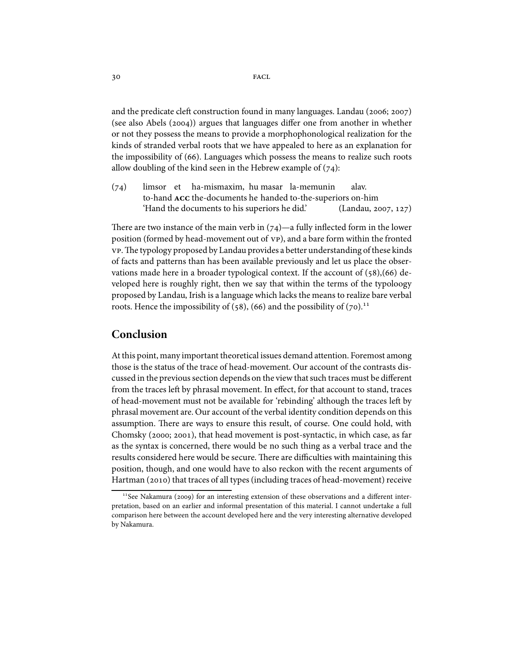and the predicate cleft construction found in many languages. Landau ( $2006; 2007$ ) (see also Abels  $(2004)$ ) argues that languages differ one from another in whether or not they possess the means to provide a morphophonological realization for the kinds of stranded verbal roots that we have appealed to here as an explanation for the impossibility of  $(66)$ . Languages which possess the means to realize such roots allow doubling of the kind seen in the Hebrew example of  $(74)$ :

(74) limsor et ha-mismaxim, hu masar la-memunin to-hand ACC the-documents he handed to-the-superiors on-him alav. 'Hand the documents to his superiors he did.'  $(Landau, 2007, 127)$ 

There are two instance of the main verb in  $(74)$ —a fully inflected form in the lower position (formed by head-movement out of vp), and a bare form within the fronted y P. The typology proposed by Landau provides a better understanding of these kinds of facts and patterns than has been available previously and let us place the observations made here in a broader typological context. If the account of  $(58),(66)$  developed here is roughly right, then we say that within the terms of the typoloogy proposed by Landau, Irish is a language which lacks the means to realize bare verbal roots. Hence the impossibility of (58), (66) and the possibility of (70).<sup>11</sup>

### **Conclusion**

At this point, many important theoretical issues demand attention. Foremost among those is the status of the trace of head-movement. Our account of the contrasts discussed in the previous section depends on the view that such traces must be different from the traces left by phrasal movement. In effect, for that account to stand, traces of head-movement must not be available for 'rebinding' although the traces le
by phrasal movement are. Our account of the verbal identity condition depends on this assumption. There are ways to ensure this result, of course. One could hold, with Chomsky ( $2000; 2001$ ), that head movement is post-syntactic, in which case, as far as the syntax is concerned, there would be no such thing as a verbal trace and the results considered here would be secure. There are difficulties with maintaining this position, though, and one would have to also reckon with the recent arguments of Hartman (2010) that traces of all types (including traces of head-movement) receive

 $11$ See Nakamura (2009) for an interesting extension of these observations and a different interpretation, based on an earlier and informal presentation of this material. I cannot undertake a full comparison here between the account developed here and the very interesting alternative developed by Nakamura.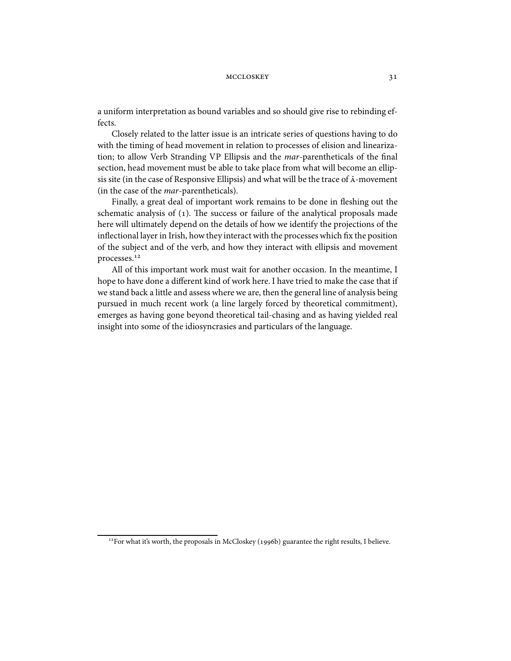a uniform interpretation as bound variables and so should give rise to rebinding effects.

Closely related to the latter issue is an intricate series of questions having to do with the timing of head movement in relation to processes of elision and linearization; to allow Verb Stranding VP Ellipsis and the mar-parentheticals of the final section, head movement must be able to take place from what will become an ellipsis site (in the case of Responsive Ellipsis) and what will be the trace of  $\bar{A}$ -movement (in the case of the mar-parentheticals).

Finally, a great deal of important work remains to be done in fleshing out the schematic analysis of  $(1)$ . The success or failure of the analytical proposals made here will ultimately depend on the details of how we identify the projections of the inflectional layer in Irish, how they interact with the processes which fix the position of the subject and of the verb, and how they interact with ellipsis and movement processes.

All of this important work must wait for another occasion. In the meantime, I hope to have done a different kind of work here. I have tried to make the case that if we stand back a little and assess where we are, then the general line of analysis being pursued in much recent work (a line largely forced by theoretical commitment), emerges as having gone beyond theoretical tail-chasing and as having yielded real insight into some of the idiosyncrasies and particulars of the language.

<sup>&</sup>lt;sup>12</sup> For what it's worth, the proposals in McCloskey (1996b) guarantee the right results, I believe.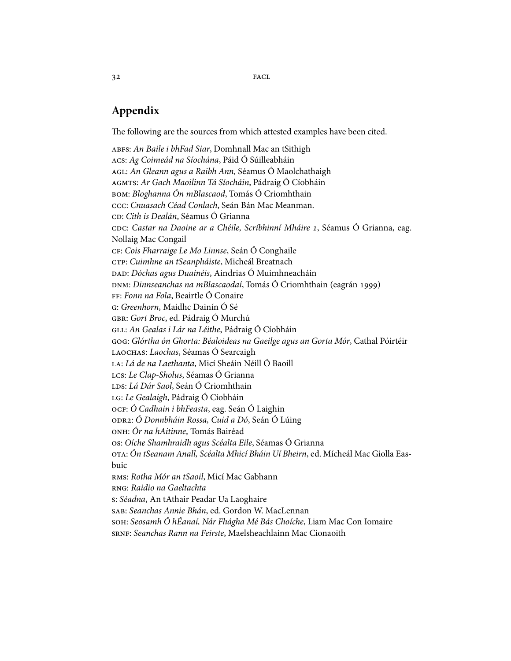$32$  FACL

# **Appendix**

The following are the sources from which attested examples have been cited.

ABFS: An Baile i bhFad Siar, Domhnall Mac an tSithigh : Ag Coimeád na Síochána, Páid Ó Súilleabháin : An Gleann agus a Raibh Ann, Séamus Ó Maolchathaigh : Ar Gach Maoilinn Tá Síocháin, Pádraig Ó Cíobháin : Bloghanna Ón mBlascaod, Tomás Ó Criomhthain : Cnuasach Céad Conlach, Seán Bán Mac Meanman. : Cith is Dealán, Séamus Ó Grianna cnc: Castar na Daoine ar a Chéile, Scríbhinní Mháire 1, Séamus Ó Grianna, eag. Nollaig Mac Congail : Cois Fharraige Le Mo Linnse, Seán Ó Conghaile : Cuimhne an tSeanpháiste, Micheál Breatnach : Dóchas agus Duainéis, Aindrias Ó Muimhneacháin DNM: Dinnseanchas na mBlascaodaí, Tomás Ó Criomhthain (eagrán 1999) : Fonn na Fola, Beairtle Ó Conaire : Greenhorn, Maidhc Dainín Ó Sé : Gort Broc, ed. Pádraig Ó Murchú : An Gealas i Lár na Léithe, Pádraig Ó Cíobháin : Glórtha ón Ghorta: Béaloideas na Gaeilge agus an Gorta Mór, Cathal Póirtéir LAOCHAS: Laochas, Séamas Ó Searcaigh : Lá de na Laethanta, Micí Sheáin Néill Ó Baoill : Le Clap-Sholus, Séamas Ó Grianna : Lá Dár Saol, Seán Ó Criomhthain : Le Gealaigh, Pádraig Ó Cíobháin : Ó Cadhain i bhFeasta, eag. Seán Ó Laighin : Ó Donnbháin Rossa, Cuid a Dó, Seán Ó Lúing : Ór na hAitinne, Tomás Bairéad : Oíche Shamhraidh agus Scéalta Eile, Séamas Ó Grianna : Ón tSeanam Anall, Scéalta Mhicí Bháin Uí Bheirn, ed. Mícheál Mac Giolla Easbuic : Rotha Mór an tSaoil, Micí Mac Gabhann : Raidio na Gaeltachta : Séadna, An tAthair Peadar Ua Laoghaire : Seanchas Annie Bhán, ed. Gordon W. MacLennan : Seosamh Ó hÉanaí, Nár Fhágha Mé Bás Choíche, Liam Mac Con Iomaire : Seanchas Rann na Feirste, Maelsheachlainn Mac Cionaoith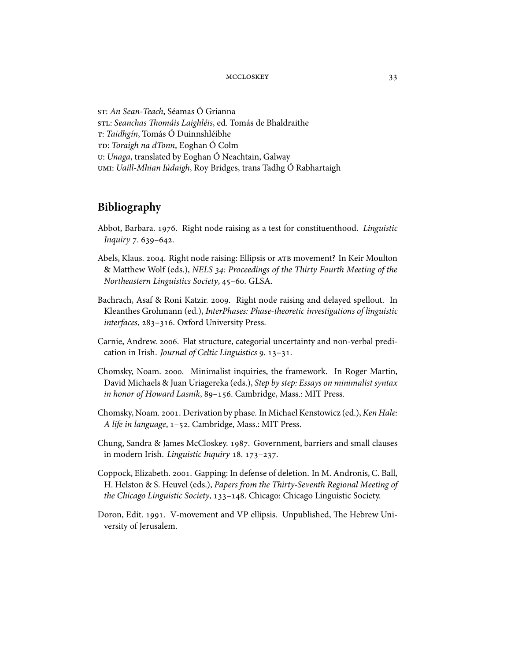: An Sean-Teach, Séamas Ó Grianna stu: Seanchas Thomáis Laighléis, ed. Tomás de Bhaldraithe : Taidhgín, Tomás Ó Duinnshléibhe : Toraigh na dTonn, Eoghan Ó Colm : Unaga, translated by Eoghan Ó Neachtain, Galway : Uaill-Mhian Iúdaigh, Roy Bridges, trans Tadhg Ó Rabhartaigh

# **Bibliography**

- Abbot, Barbara. 1976. Right node raising as a test for constituenthood. Linguistic Inquiry 7.639-642.
- Abels, Klaus. 2004. Right node raising: Ellipsis or ATB movement? In Keir Moulton & Matthew Wolf (eds.), NELS 34: Proceedings of the Thirty Fourth Meeting of the Northeastern Linguistics Society, 45-60. GLSA.
- Bachrach, Asaf & Roni Katzir. 2009. Right node raising and delayed spellout. In Kleanthes Grohmann (ed.), InterPhases: Phase-theoretic investigations of linguistic interfaces, 283-316. Oxford University Press.
- Carnie, Andrew. 2006. Flat structure, categorial uncertainty and non-verbal predication in Irish. Journal of Celtic Linguistics  $9.13 - 31.$
- Chomsky, Noam. 2000. Minimalist inquiries, the framework. In Roger Martin, David Michaels & Juan Uriagereka (eds.), Step by step: Essays on minimalist syntax in honor of Howard Lasnik, 89-156. Cambridge, Mass.: MIT Press.
- Chomsky, Noam. 2001. Derivation by phase. In Michael Kenstowicz (ed.), Ken Hale: A life in language, 1-52. Cambridge, Mass.: MIT Press.
- Chung, Sandra & James McCloskey. 1987. Government, barriers and small clauses in modern Irish. Linguistic Inquiry 18. 173-237.
- Coppock, Elizabeth. 2001. Gapping: In defense of deletion. In M. Andronis, C. Ball, H. Helston & S. Heuvel (eds.), Papers from the Thirty-Seventh Regional Meeting of the Chicago Linguistic Society, 133-148. Chicago: Chicago Linguistic Society.
- Doron, Edit. 1991. V-movement and VP ellipsis. Unpublished, The Hebrew University of Jerusalem.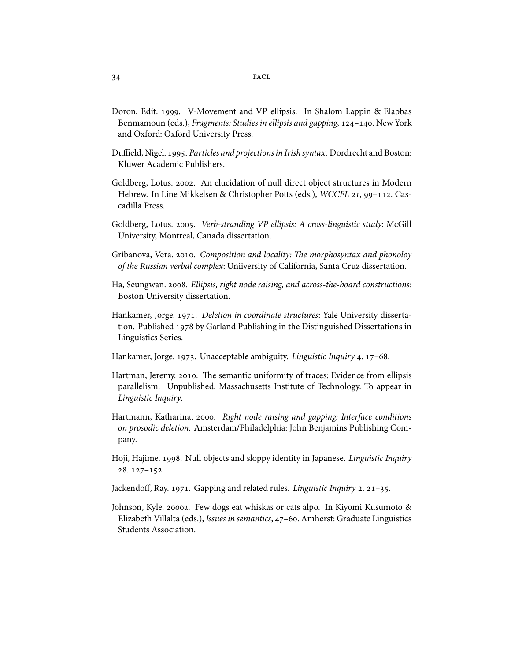- Doron, Edit. 1999. V-Movement and VP ellipsis. In Shalom Lappin & Elabbas Benmamoun (eds.), Fragments: Studies in ellipsis and gapping, 124-140. New York and Oxford: Oxford University Press.
- Duffield, Nigel. 1995. Particles and projections in Irish syntax. Dordrecht and Boston: Kluwer Academic Publishers.
- Goldberg, Lotus. 2002. An elucidation of null direct object structures in Modern Hebrew. In Line Mikkelsen & Christopher Potts (eds.), WCCFL 21, 99-112. Cascadilla Press.
- Goldberg, Lotus. 2005. Verb-stranding VP ellipsis: A cross-linguistic study: McGill University, Montreal, Canada dissertation.
- Gribanova, Vera. 2010. Composition and locality: The morphosyntax and phonoloy of the Russian verbal complex: Uniiversity of California, Santa Cruz dissertation.
- Ha, Seungwan. 2008. Ellipsis, right node raising, and across-the-board constructions: Boston University dissertation.
- Hankamer, Jorge. 1971. Deletion in coordinate structures: Yale University dissertation. Published 1978 by Garland Publishing in the Distinguished Dissertations in Linguistics Series.
- Hankamer, Jorge. 1973. Unacceptable ambiguity. Linguistic Inquiry 4. 17-68.
- Hartman, Jeremy. 2010. The semantic uniformity of traces: Evidence from ellipsis parallelism. Unpublished, Massachusetts Institute of Technology. To appear in Linguistic Inquiry.
- Hartmann, Katharina. 2000. Right node raising and gapping: Interface conditions on prosodic deletion. Amsterdam/Philadelphia: John Benjamins Publishing Company.
- Hoji, Hajime. 1998. Null objects and sloppy identity in Japanese. Linguistic Inquiry  $28.127 - 152.$
- Jackendoff, Ray. 1971. Gapping and related rules. Linguistic Inquiry 2. 21-35.
- Johnson, Kyle. 2000a. Few dogs eat whiskas or cats alpo. In Kiyomi Kusumoto & Elizabeth Villalta (eds.), Issues in semantics, 47-60. Amherst: Graduate Linguistics Students Association.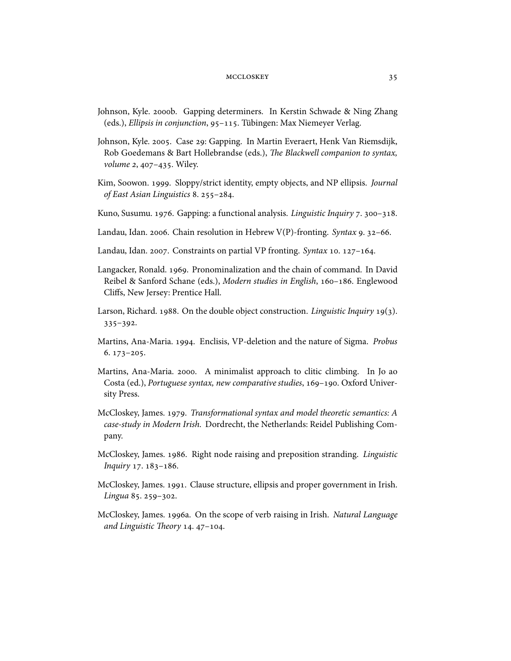- Johnson, Kyle. 2000b. Gapping determiners. In Kerstin Schwade & Ning Zhang (eds.), Ellipsis in conjunction, 95-115. Tübingen: Max Niemeyer Verlag.
- Johnson, Kyle. 2005. Case 29: Gapping. In Martin Everaert, Henk Van Riemsdijk, Rob Goedemans & Bart Hollebrandse (eds.), The Blackwell companion to syntax, volume 2, 407-435. Wiley.
- Kim, Soowon. 1999. Sloppy/strict identity, empty objects, and NP ellipsis. Journal of East Asian Linguistics 8. 255-284.
- Kuno, Susumu. 1976. Gapping: a functional analysis. Linguistic Inquiry 7. 300-318.
- Landau, Idan. 2006. Chain resolution in Hebrew V(P)-fronting. Syntax 9. 32-66.
- Landau, Idan. 2007. Constraints on partial VP fronting. Syntax 10. 127–164.
- Langacker, Ronald. 1969. Pronominalization and the chain of command. In David Reibel & Sanford Schane (eds.), Modern studies in English, 160-186. Englewood Cliffs, New Jersey: Prentice Hall.
- Larson, Richard. 1988. On the double object construction. Linguistic Inquiry 19(3).  $335 - 392.$
- Martins, Ana-Maria. 1994. Enclisis, VP-deletion and the nature of Sigma. Probus  $6.173 - 205.$
- Martins, Ana-Maria. 2000. A minimalist approach to clitic climbing. In Jo ao Costa (ed.), Portuguese syntax, new comparative studies, 169-190. Oxford University Press.
- McCloskey, James. 1979. Transformational syntax and model theoretic semantics: A case-study in Modern Irish. Dordrecht, the Netherlands: Reidel Publishing Company.
- McCloskey, James. 1986. Right node raising and preposition stranding. Linguistic Inquiry 17. 183-186.
- McCloskey, James. 1991. Clause structure, ellipsis and proper government in Irish. Lingua 85. 259-302.
- McCloskey, James. 1996a. On the scope of verb raising in Irish. Natural Language and Linguistic Theory 14. 47-104.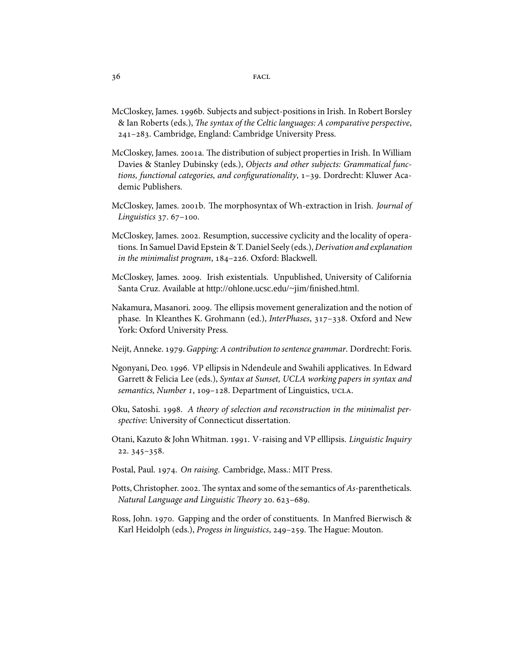- McCloskey, James. 1996b. Subjects and subject-positions in Irish. In Robert Borsley & Ian Roberts (eds.), The syntax of the Celtic languages: A comparative perspective, 241-283. Cambridge, England: Cambridge University Press.
- McCloskey, James. 2001a. The distribution of subject properties in Irish. In William Davies & Stanley Dubinsky (eds.), Objects and other subjects: Grammatical functions, functional categories, and configurationality,  $1-39$ . Dordrecht: Kluwer Academic Publishers.
- McCloskey, James. 2001b. The morphosyntax of Wh-extraction in Irish. Journal of Linguistics  $37.67 - 100$ .
- McCloskey, James. 2002. Resumption, successive cyclicity and the locality of operations. In Samuel David Epstein & T. Daniel Seely (eds.), Derivation and explanation in the minimalist program,  $184-226$ . Oxford: Blackwell.
- McCloskey, James. 2009. Irish existentials. Unpublished, University of California Santa Cruz. Available at http://ohlone.ucsc.edu/~jim/finished.html.
- Nakamura, Masanori. 2009. The ellipsis movement generalization and the notion of phase. In Kleanthes K. Grohmann (ed.), InterPhases, 317-338. Oxford and New York: Oxford University Press.
- Neijt, Anneke. 1979. Gapping: A contribution to sentence grammar. Dordrecht: Foris.
- Ngonyani, Deo. 1996. VP ellipsis in Ndendeule and Swahili applicatives. In Edward Garrett & Felicia Lee (eds.), Syntax at Sunset, UCLA working papers in syntax and semantics, Number 1, 109-128. Department of Linguistics, UCLA.
- Oku, Satoshi. 1998. A theory of selection and reconstruction in the minimalist perspective: University of Connecticut dissertation.
- Otani, Kazuto & John Whitman. 1991. V-raising and VP elllipsis. Linguistic Inquiry  $22.345 - 358.$
- Postal, Paul. 1974. On raising. Cambridge, Mass.: MIT Press.
- Potts, Christopher. 2002. The syntax and some of the semantics of  $As$ -parentheticals. Natural Language and Linguistic Theory 20. 623-689.
- Ross, John. 1970. Gapping and the order of constituents. In Manfred Bierwisch & Karl Heidolph (eds.), Progess in linguistics, 249-259. The Hague: Mouton.